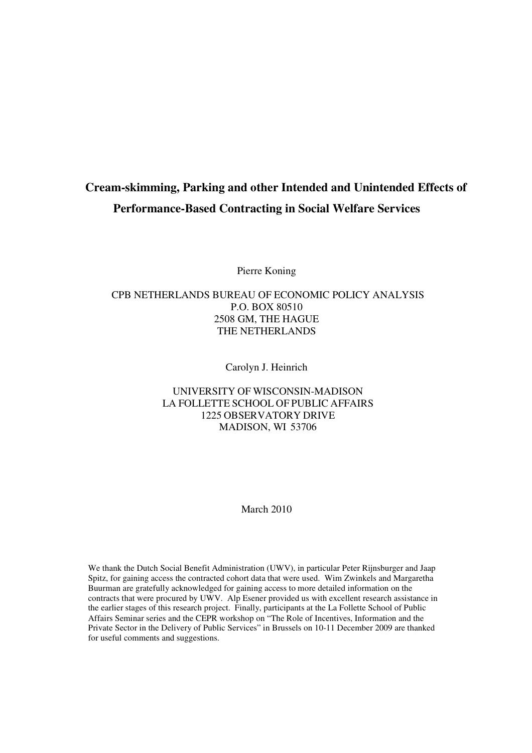# **Cream-skimming, Parking and other Intended and Unintended Effects of Performance-Based Contracting in Social Welfare Services**

Pierre Koning

# CPB NETHERLANDS BUREAU OF ECONOMIC POLICY ANALYSIS P.O. BOX 80510 2508 GM, THE HAGUE THE NETHERLANDS

Carolyn J. Heinrich

## UNIVERSITY OF WISCONSIN-MADISON LA FOLLETTE SCHOOL OF PUBLIC AFFAIRS 1225 OBSERVATORY DRIVE MADISON, WI 53706

#### March 2010

We thank the Dutch Social Benefit Administration (UWV), in particular Peter Rijnsburger and Jaap Spitz, for gaining access the contracted cohort data that were used. Wim Zwinkels and Margaretha Buurman are gratefully acknowledged for gaining access to more detailed information on the contracts that were procured by UWV. Alp Esener provided us with excellent research assistance in the earlier stages of this research project. Finally, participants at the La Follette School of Public Affairs Seminar series and the CEPR workshop on "The Role of Incentives, Information and the Private Sector in the Delivery of Public Services" in Brussels on 10-11 December 2009 are thanked for useful comments and suggestions.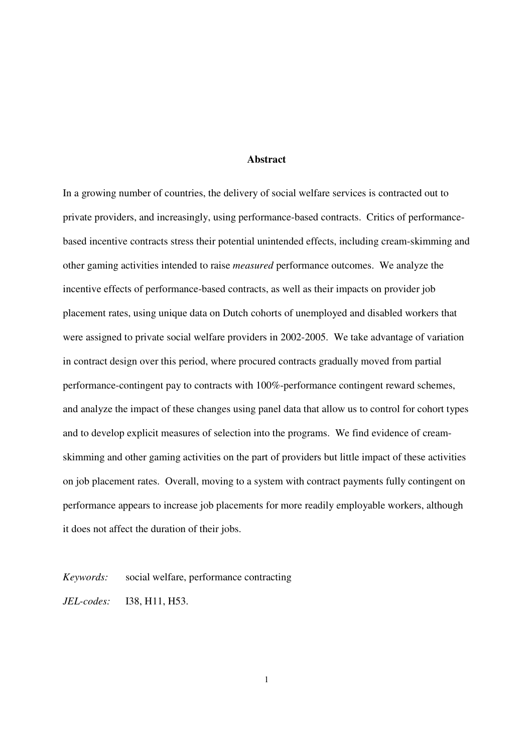#### **Abstract**

In a growing number of countries, the delivery of social welfare services is contracted out to private providers, and increasingly, using performance-based contracts. Critics of performancebased incentive contracts stress their potential unintended effects, including cream-skimming and other gaming activities intended to raise *measured* performance outcomes. We analyze the incentive effects of performance-based contracts, as well as their impacts on provider job placement rates, using unique data on Dutch cohorts of unemployed and disabled workers that were assigned to private social welfare providers in 2002-2005. We take advantage of variation in contract design over this period, where procured contracts gradually moved from partial performance-contingent pay to contracts with 100%-performance contingent reward schemes, and analyze the impact of these changes using panel data that allow us to control for cohort types and to develop explicit measures of selection into the programs. We find evidence of creamskimming and other gaming activities on the part of providers but little impact of these activities on job placement rates. Overall, moving to a system with contract payments fully contingent on performance appears to increase job placements for more readily employable workers, although it does not affect the duration of their jobs.

*Keywords:* social welfare, performance contracting

*JEL-codes:* I38, H11, H53.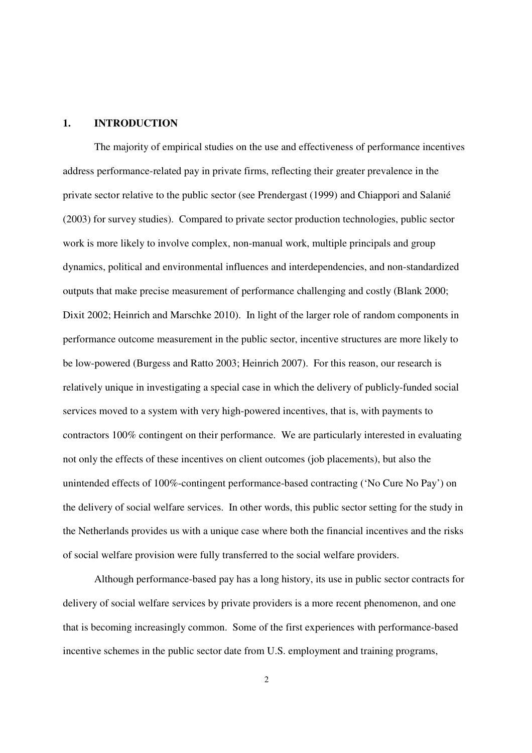### **1. INTRODUCTION**

The majority of empirical studies on the use and effectiveness of performance incentives address performance-related pay in private firms, reflecting their greater prevalence in the private sector relative to the public sector (see Prendergast (1999) and Chiappori and Salanié (2003) for survey studies). Compared to private sector production technologies, public sector work is more likely to involve complex, non-manual work, multiple principals and group dynamics, political and environmental influences and interdependencies, and non-standardized outputs that make precise measurement of performance challenging and costly (Blank 2000; Dixit 2002; Heinrich and Marschke 2010). In light of the larger role of random components in performance outcome measurement in the public sector, incentive structures are more likely to be low-powered (Burgess and Ratto 2003; Heinrich 2007). For this reason, our research is relatively unique in investigating a special case in which the delivery of publicly-funded social services moved to a system with very high-powered incentives, that is, with payments to contractors 100% contingent on their performance. We are particularly interested in evaluating not only the effects of these incentives on client outcomes (job placements), but also the unintended effects of 100%-contingent performance-based contracting ('No Cure No Pay') on the delivery of social welfare services. In other words, this public sector setting for the study in the Netherlands provides us with a unique case where both the financial incentives and the risks of social welfare provision were fully transferred to the social welfare providers.

Although performance-based pay has a long history, its use in public sector contracts for delivery of social welfare services by private providers is a more recent phenomenon, and one that is becoming increasingly common. Some of the first experiences with performance-based incentive schemes in the public sector date from U.S. employment and training programs,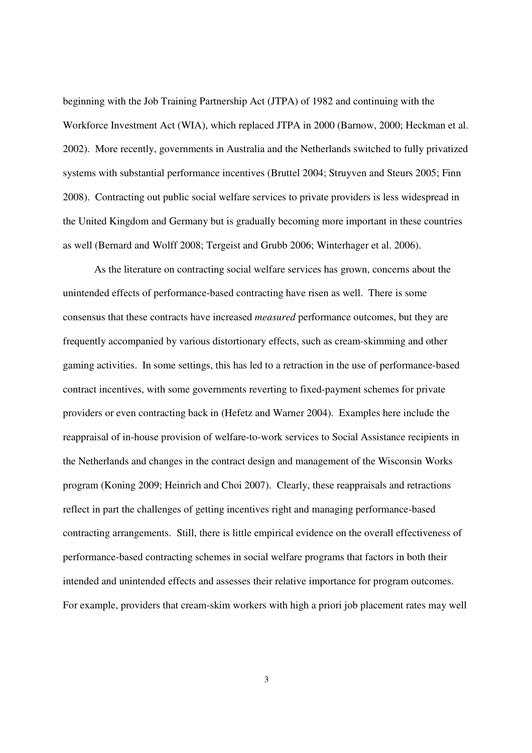beginning with the Job Training Partnership Act (JTPA) of 1982 and continuing with the Workforce Investment Act (WIA), which replaced JTPA in 2000 (Barnow, 2000; Heckman et al. 2002). More recently, governments in Australia and the Netherlands switched to fully privatized systems with substantial performance incentives (Bruttel 2004; Struyven and Steurs 2005; Finn 2008). Contracting out public social welfare services to private providers is less widespread in the United Kingdom and Germany but is gradually becoming more important in these countries as well (Bernard and Wolff 2008; Tergeist and Grubb 2006; Winterhager et al. 2006).

 As the literature on contracting social welfare services has grown, concerns about the unintended effects of performance-based contracting have risen as well. There is some consensus that these contracts have increased *measured* performance outcomes, but they are frequently accompanied by various distortionary effects, such as cream-skimming and other gaming activities. In some settings, this has led to a retraction in the use of performance-based contract incentives, with some governments reverting to fixed-payment schemes for private providers or even contracting back in (Hefetz and Warner 2004). Examples here include the reappraisal of in-house provision of welfare-to-work services to Social Assistance recipients in the Netherlands and changes in the contract design and management of the Wisconsin Works program (Koning 2009; Heinrich and Choi 2007). Clearly, these reappraisals and retractions reflect in part the challenges of getting incentives right and managing performance-based contracting arrangements. Still, there is little empirical evidence on the overall effectiveness of performance-based contracting schemes in social welfare programs that factors in both their intended and unintended effects and assesses their relative importance for program outcomes. For example, providers that cream-skim workers with high a priori job placement rates may well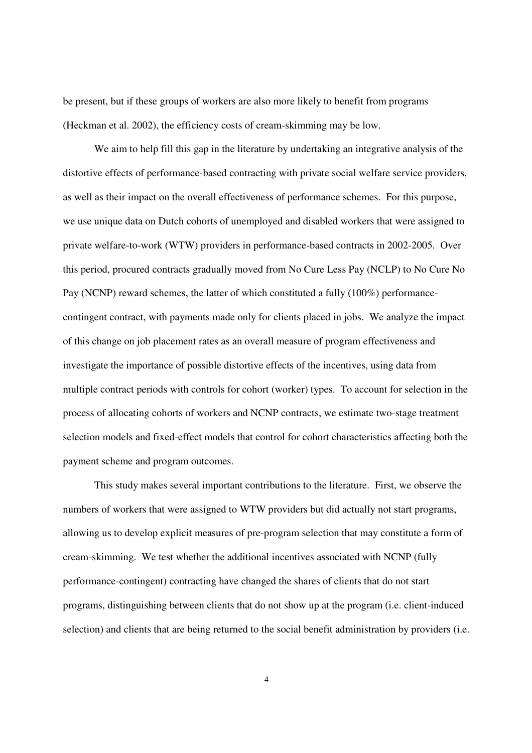be present, but if these groups of workers are also more likely to benefit from programs (Heckman et al. 2002), the efficiency costs of cream-skimming may be low.

 We aim to help fill this gap in the literature by undertaking an integrative analysis of the distortive effects of performance-based contracting with private social welfare service providers, as well as their impact on the overall effectiveness of performance schemes. For this purpose, we use unique data on Dutch cohorts of unemployed and disabled workers that were assigned to private welfare-to-work (WTW) providers in performance-based contracts in 2002-2005. Over this period, procured contracts gradually moved from No Cure Less Pay (NCLP) to No Cure No Pay (NCNP) reward schemes, the latter of which constituted a fully (100%) performancecontingent contract, with payments made only for clients placed in jobs. We analyze the impact of this change on job placement rates as an overall measure of program effectiveness and investigate the importance of possible distortive effects of the incentives, using data from multiple contract periods with controls for cohort (worker) types. To account for selection in the process of allocating cohorts of workers and NCNP contracts, we estimate two-stage treatment selection models and fixed-effect models that control for cohort characteristics affecting both the payment scheme and program outcomes.

This study makes several important contributions to the literature. First, we observe the numbers of workers that were assigned to WTW providers but did actually not start programs, allowing us to develop explicit measures of pre-program selection that may constitute a form of cream-skimming. We test whether the additional incentives associated with NCNP (fully performance-contingent) contracting have changed the shares of clients that do not start programs, distinguishing between clients that do not show up at the program (i.e. client-induced selection) and clients that are being returned to the social benefit administration by providers (i.e.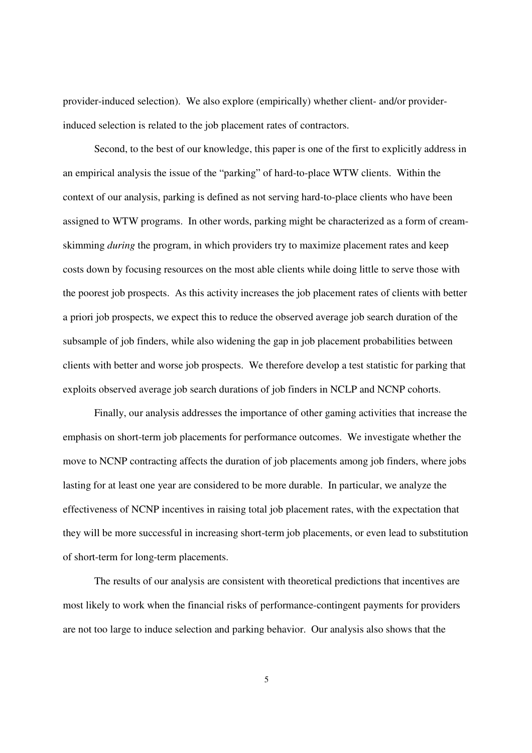provider-induced selection). We also explore (empirically) whether client- and/or providerinduced selection is related to the job placement rates of contractors.

 Second, to the best of our knowledge, this paper is one of the first to explicitly address in an empirical analysis the issue of the "parking" of hard-to-place WTW clients. Within the context of our analysis, parking is defined as not serving hard-to-place clients who have been assigned to WTW programs. In other words, parking might be characterized as a form of creamskimming *during* the program, in which providers try to maximize placement rates and keep costs down by focusing resources on the most able clients while doing little to serve those with the poorest job prospects. As this activity increases the job placement rates of clients with better a priori job prospects, we expect this to reduce the observed average job search duration of the subsample of job finders, while also widening the gap in job placement probabilities between clients with better and worse job prospects. We therefore develop a test statistic for parking that exploits observed average job search durations of job finders in NCLP and NCNP cohorts.

 Finally, our analysis addresses the importance of other gaming activities that increase the emphasis on short-term job placements for performance outcomes. We investigate whether the move to NCNP contracting affects the duration of job placements among job finders, where jobs lasting for at least one year are considered to be more durable. In particular, we analyze the effectiveness of NCNP incentives in raising total job placement rates, with the expectation that they will be more successful in increasing short-term job placements, or even lead to substitution of short-term for long-term placements.

The results of our analysis are consistent with theoretical predictions that incentives are most likely to work when the financial risks of performance-contingent payments for providers are not too large to induce selection and parking behavior. Our analysis also shows that the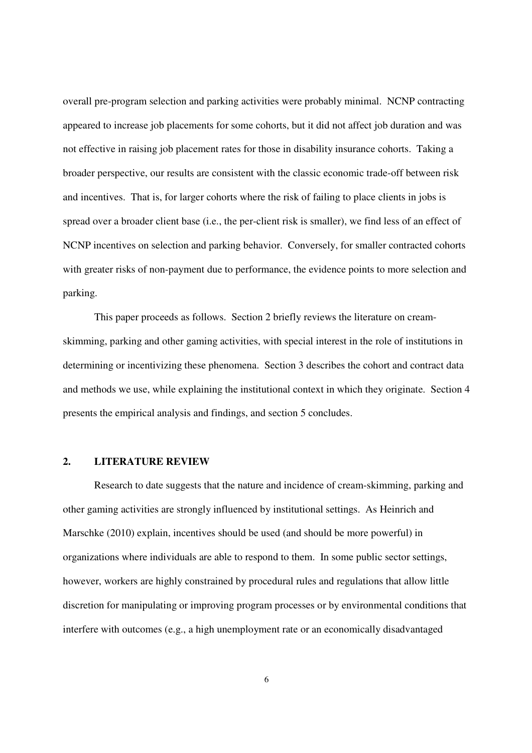overall pre-program selection and parking activities were probably minimal. NCNP contracting appeared to increase job placements for some cohorts, but it did not affect job duration and was not effective in raising job placement rates for those in disability insurance cohorts. Taking a broader perspective, our results are consistent with the classic economic trade-off between risk and incentives. That is, for larger cohorts where the risk of failing to place clients in jobs is spread over a broader client base (i.e., the per-client risk is smaller), we find less of an effect of NCNP incentives on selection and parking behavior. Conversely, for smaller contracted cohorts with greater risks of non-payment due to performance, the evidence points to more selection and parking.

 This paper proceeds as follows. Section 2 briefly reviews the literature on creamskimming, parking and other gaming activities, with special interest in the role of institutions in determining or incentivizing these phenomena. Section 3 describes the cohort and contract data and methods we use, while explaining the institutional context in which they originate. Section 4 presents the empirical analysis and findings, and section 5 concludes.

### **2. LITERATURE REVIEW**

Research to date suggests that the nature and incidence of cream-skimming, parking and other gaming activities are strongly influenced by institutional settings. As Heinrich and Marschke (2010) explain, incentives should be used (and should be more powerful) in organizations where individuals are able to respond to them. In some public sector settings, however, workers are highly constrained by procedural rules and regulations that allow little discretion for manipulating or improving program processes or by environmental conditions that interfere with outcomes (e.g., a high unemployment rate or an economically disadvantaged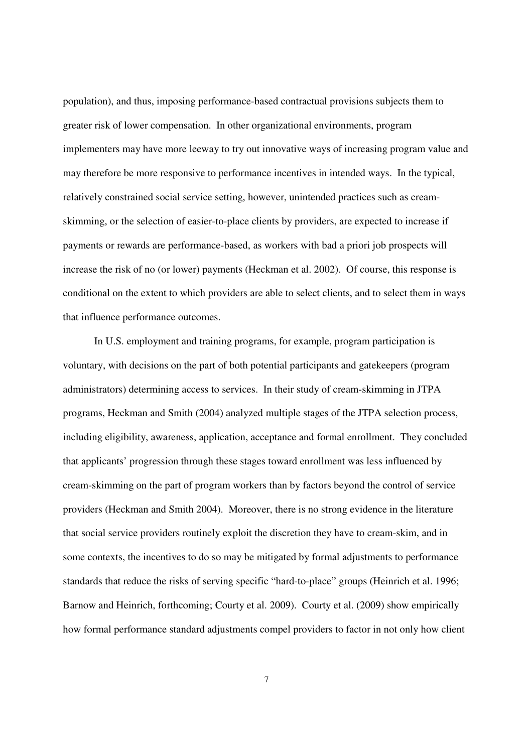population), and thus, imposing performance-based contractual provisions subjects them to greater risk of lower compensation. In other organizational environments, program implementers may have more leeway to try out innovative ways of increasing program value and may therefore be more responsive to performance incentives in intended ways. In the typical, relatively constrained social service setting, however, unintended practices such as creamskimming, or the selection of easier-to-place clients by providers, are expected to increase if payments or rewards are performance-based, as workers with bad a priori job prospects will increase the risk of no (or lower) payments (Heckman et al. 2002). Of course, this response is conditional on the extent to which providers are able to select clients, and to select them in ways that influence performance outcomes.

In U.S. employment and training programs, for example, program participation is voluntary, with decisions on the part of both potential participants and gatekeepers (program administrators) determining access to services. In their study of cream-skimming in JTPA programs, Heckman and Smith (2004) analyzed multiple stages of the JTPA selection process, including eligibility, awareness, application, acceptance and formal enrollment. They concluded that applicants' progression through these stages toward enrollment was less influenced by cream-skimming on the part of program workers than by factors beyond the control of service providers (Heckman and Smith 2004). Moreover, there is no strong evidence in the literature that social service providers routinely exploit the discretion they have to cream-skim, and in some contexts, the incentives to do so may be mitigated by formal adjustments to performance standards that reduce the risks of serving specific "hard-to-place" groups (Heinrich et al. 1996; Barnow and Heinrich, forthcoming; Courty et al. 2009). Courty et al. (2009) show empirically how formal performance standard adjustments compel providers to factor in not only how client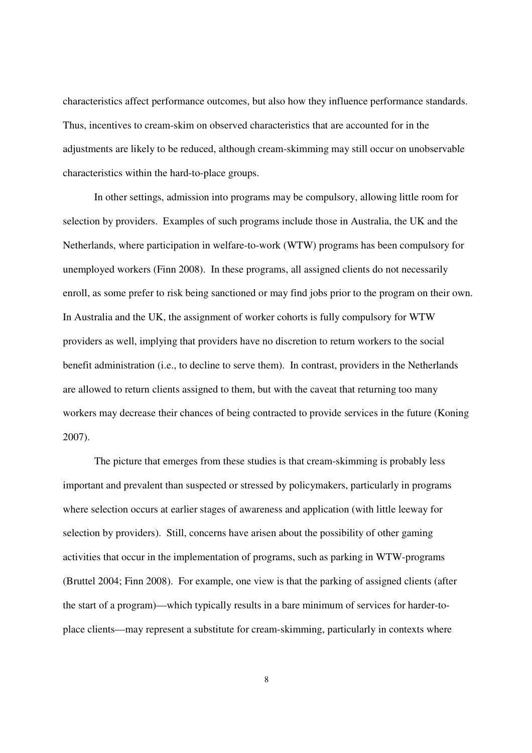characteristics affect performance outcomes, but also how they influence performance standards. Thus, incentives to cream-skim on observed characteristics that are accounted for in the adjustments are likely to be reduced, although cream-skimming may still occur on unobservable characteristics within the hard-to-place groups.

 In other settings, admission into programs may be compulsory, allowing little room for selection by providers. Examples of such programs include those in Australia, the UK and the Netherlands, where participation in welfare-to-work (WTW) programs has been compulsory for unemployed workers (Finn 2008). In these programs, all assigned clients do not necessarily enroll, as some prefer to risk being sanctioned or may find jobs prior to the program on their own. In Australia and the UK, the assignment of worker cohorts is fully compulsory for WTW providers as well, implying that providers have no discretion to return workers to the social benefit administration (i.e., to decline to serve them). In contrast, providers in the Netherlands are allowed to return clients assigned to them, but with the caveat that returning too many workers may decrease their chances of being contracted to provide services in the future (Koning 2007).

 The picture that emerges from these studies is that cream-skimming is probably less important and prevalent than suspected or stressed by policymakers, particularly in programs where selection occurs at earlier stages of awareness and application (with little leeway for selection by providers). Still, concerns have arisen about the possibility of other gaming activities that occur in the implementation of programs, such as parking in WTW-programs (Bruttel 2004; Finn 2008). For example, one view is that the parking of assigned clients (after the start of a program)—which typically results in a bare minimum of services for harder-toplace clients—may represent a substitute for cream-skimming, particularly in contexts where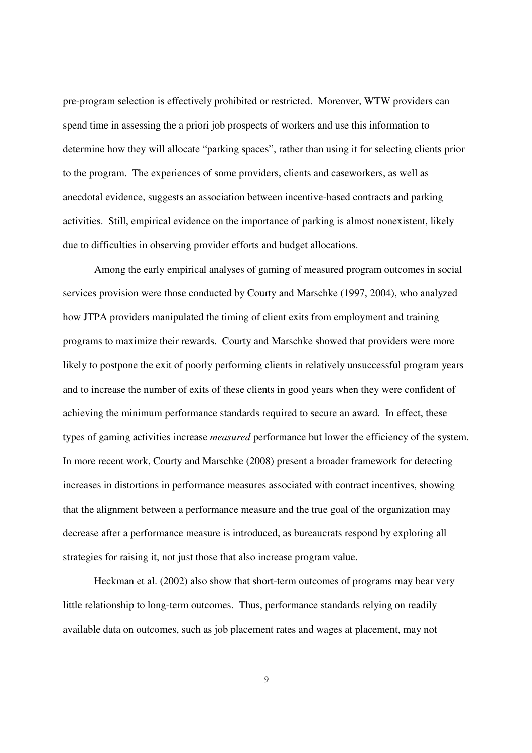pre-program selection is effectively prohibited or restricted. Moreover, WTW providers can spend time in assessing the a priori job prospects of workers and use this information to determine how they will allocate "parking spaces", rather than using it for selecting clients prior to the program. The experiences of some providers, clients and caseworkers, as well as anecdotal evidence, suggests an association between incentive-based contracts and parking activities. Still, empirical evidence on the importance of parking is almost nonexistent, likely due to difficulties in observing provider efforts and budget allocations.

 Among the early empirical analyses of gaming of measured program outcomes in social services provision were those conducted by Courty and Marschke (1997, 2004), who analyzed how JTPA providers manipulated the timing of client exits from employment and training programs to maximize their rewards. Courty and Marschke showed that providers were more likely to postpone the exit of poorly performing clients in relatively unsuccessful program years and to increase the number of exits of these clients in good years when they were confident of achieving the minimum performance standards required to secure an award. In effect, these types of gaming activities increase *measured* performance but lower the efficiency of the system. In more recent work, Courty and Marschke (2008) present a broader framework for detecting increases in distortions in performance measures associated with contract incentives, showing that the alignment between a performance measure and the true goal of the organization may decrease after a performance measure is introduced, as bureaucrats respond by exploring all strategies for raising it, not just those that also increase program value.

Heckman et al. (2002) also show that short-term outcomes of programs may bear very little relationship to long-term outcomes. Thus, performance standards relying on readily available data on outcomes, such as job placement rates and wages at placement, may not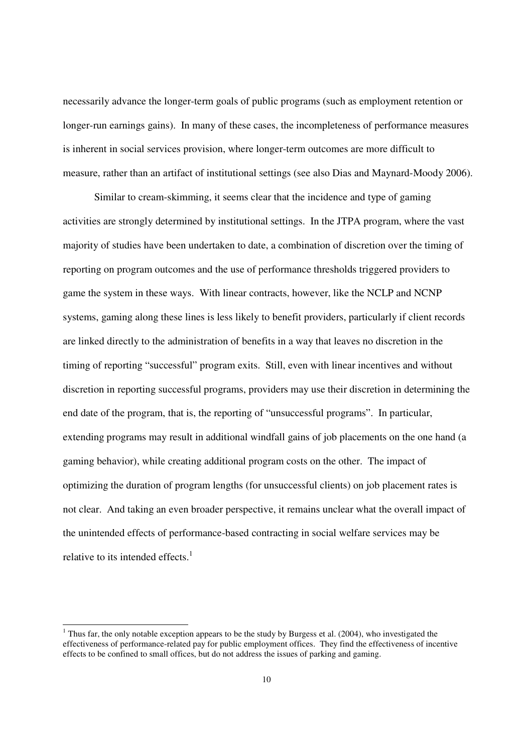necessarily advance the longer-term goals of public programs (such as employment retention or longer-run earnings gains). In many of these cases, the incompleteness of performance measures is inherent in social services provision, where longer-term outcomes are more difficult to measure, rather than an artifact of institutional settings (see also Dias and Maynard-Moody 2006).

Similar to cream-skimming, it seems clear that the incidence and type of gaming activities are strongly determined by institutional settings. In the JTPA program, where the vast majority of studies have been undertaken to date, a combination of discretion over the timing of reporting on program outcomes and the use of performance thresholds triggered providers to game the system in these ways. With linear contracts, however, like the NCLP and NCNP systems, gaming along these lines is less likely to benefit providers, particularly if client records are linked directly to the administration of benefits in a way that leaves no discretion in the timing of reporting "successful" program exits. Still, even with linear incentives and without discretion in reporting successful programs, providers may use their discretion in determining the end date of the program, that is, the reporting of "unsuccessful programs". In particular, extending programs may result in additional windfall gains of job placements on the one hand (a gaming behavior), while creating additional program costs on the other. The impact of optimizing the duration of program lengths (for unsuccessful clients) on job placement rates is not clear. And taking an even broader perspective, it remains unclear what the overall impact of the unintended effects of performance-based contracting in social welfare services may be relative to its intended effects. $<sup>1</sup>$ </sup>

-

<sup>&</sup>lt;sup>1</sup> Thus far, the only notable exception appears to be the study by Burgess et al. (2004), who investigated the effectiveness of performance-related pay for public employment offices. They find the effectiveness of incentive effects to be confined to small offices, but do not address the issues of parking and gaming.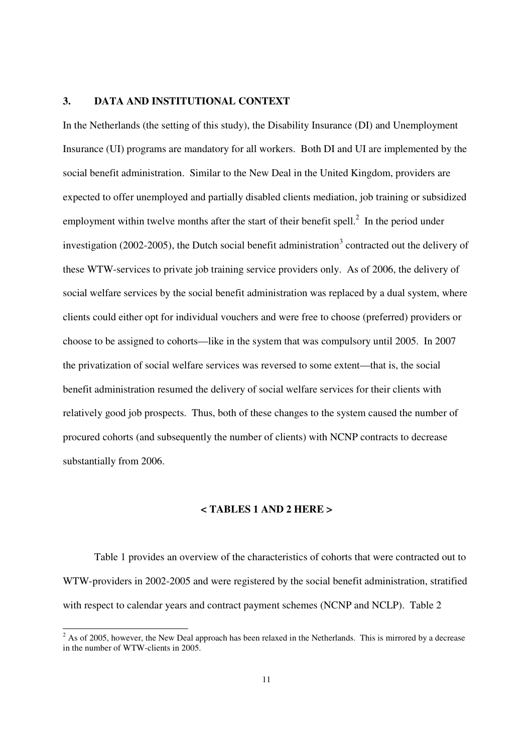#### **3. DATA AND INSTITUTIONAL CONTEXT**

In the Netherlands (the setting of this study), the Disability Insurance (DI) and Unemployment Insurance (UI) programs are mandatory for all workers. Both DI and UI are implemented by the social benefit administration. Similar to the New Deal in the United Kingdom, providers are expected to offer unemployed and partially disabled clients mediation, job training or subsidized employment within twelve months after the start of their benefit spell. $^2$  In the period under investigation (2002-2005), the Dutch social benefit administration<sup>3</sup> contracted out the delivery of these WTW-services to private job training service providers only. As of 2006, the delivery of social welfare services by the social benefit administration was replaced by a dual system, where clients could either opt for individual vouchers and were free to choose (preferred) providers or choose to be assigned to cohorts—like in the system that was compulsory until 2005. In 2007 the privatization of social welfare services was reversed to some extent—that is, the social benefit administration resumed the delivery of social welfare services for their clients with relatively good job prospects. Thus, both of these changes to the system caused the number of procured cohorts (and subsequently the number of clients) with NCNP contracts to decrease substantially from 2006.

#### **< TABLES 1 AND 2 HERE >**

Table 1 provides an overview of the characteristics of cohorts that were contracted out to WTW-providers in 2002-2005 and were registered by the social benefit administration, stratified with respect to calendar years and contract payment schemes (NCNP and NCLP). Table 2

 $\frac{1}{2}$  As of 2005, however, the New Deal approach has been relaxed in the Netherlands. This is mirrored by a decrease in the number of WTW-clients in 2005.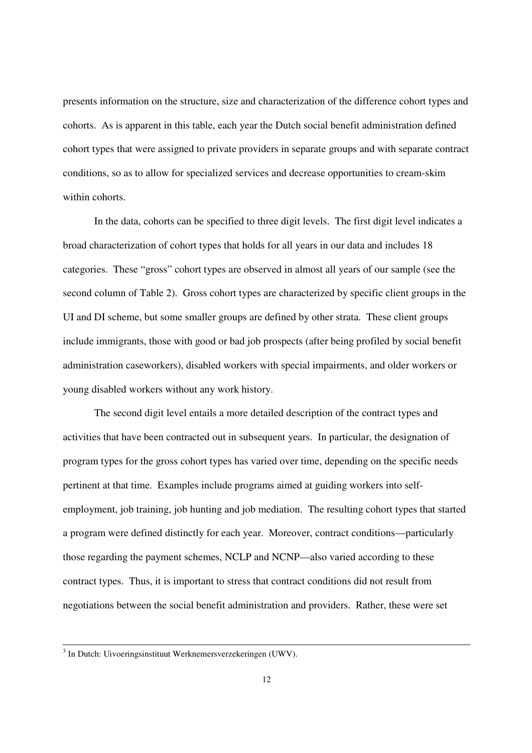presents information on the structure, size and characterization of the difference cohort types and cohorts. As is apparent in this table, each year the Dutch social benefit administration defined cohort types that were assigned to private providers in separate groups and with separate contract conditions, so as to allow for specialized services and decrease opportunities to cream-skim within cohorts.

In the data, cohorts can be specified to three digit levels. The first digit level indicates a broad characterization of cohort types that holds for all years in our data and includes 18 categories. These "gross" cohort types are observed in almost all years of our sample (see the second column of Table 2). Gross cohort types are characterized by specific client groups in the UI and DI scheme, but some smaller groups are defined by other strata. These client groups include immigrants, those with good or bad job prospects (after being profiled by social benefit administration caseworkers), disabled workers with special impairments, and older workers or young disabled workers without any work history.

The second digit level entails a more detailed description of the contract types and activities that have been contracted out in subsequent years. In particular, the designation of program types for the gross cohort types has varied over time, depending on the specific needs pertinent at that time. Examples include programs aimed at guiding workers into selfemployment, job training, job hunting and job mediation. The resulting cohort types that started a program were defined distinctly for each year. Moreover, contract conditions—particularly those regarding the payment schemes, NCLP and NCNP—also varied according to these contract types. Thus, it is important to stress that contract conditions did not result from negotiations between the social benefit administration and providers. Rather, these were set

 3 In Dutch: Uivoeringsinstituut Werknemersverzekeringen (UWV).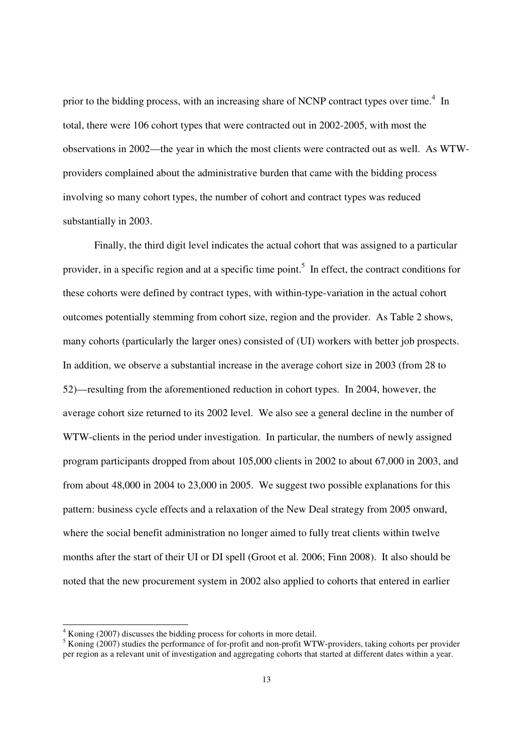prior to the bidding process, with an increasing share of NCNP contract types over time.<sup>4</sup> In total, there were 106 cohort types that were contracted out in 2002-2005, with most the observations in 2002—the year in which the most clients were contracted out as well. As WTWproviders complained about the administrative burden that came with the bidding process involving so many cohort types, the number of cohort and contract types was reduced substantially in 2003.

Finally, the third digit level indicates the actual cohort that was assigned to a particular provider, in a specific region and at a specific time point.<sup>5</sup> In effect, the contract conditions for these cohorts were defined by contract types, with within-type-variation in the actual cohort outcomes potentially stemming from cohort size, region and the provider. As Table 2 shows, many cohorts (particularly the larger ones) consisted of (UI) workers with better job prospects. In addition, we observe a substantial increase in the average cohort size in 2003 (from 28 to 52)—resulting from the aforementioned reduction in cohort types. In 2004, however, the average cohort size returned to its 2002 level. We also see a general decline in the number of WTW-clients in the period under investigation. In particular, the numbers of newly assigned program participants dropped from about 105,000 clients in 2002 to about 67,000 in 2003, and from about 48,000 in 2004 to 23,000 in 2005. We suggest two possible explanations for this pattern: business cycle effects and a relaxation of the New Deal strategy from 2005 onward, where the social benefit administration no longer aimed to fully treat clients within twelve months after the start of their UI or DI spell (Groot et al. 2006; Finn 2008). It also should be noted that the new procurement system in 2002 also applied to cohorts that entered in earlier

-

<sup>&</sup>lt;sup>4</sup> Koning (2007) discusses the bidding process for cohorts in more detail.

<sup>&</sup>lt;sup>5</sup> Koning (2007) studies the performance of for-profit and non-profit WTW-providers, taking cohorts per provider per region as a relevant unit of investigation and aggregating cohorts that started at different dates within a year.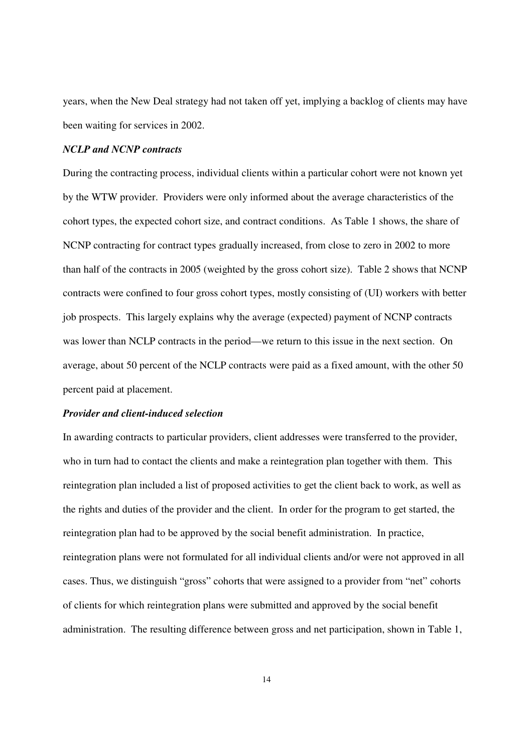years, when the New Deal strategy had not taken off yet, implying a backlog of clients may have been waiting for services in 2002.

### *NCLP and NCNP contracts*

During the contracting process, individual clients within a particular cohort were not known yet by the WTW provider. Providers were only informed about the average characteristics of the cohort types, the expected cohort size, and contract conditions. As Table 1 shows, the share of NCNP contracting for contract types gradually increased, from close to zero in 2002 to more than half of the contracts in 2005 (weighted by the gross cohort size). Table 2 shows that NCNP contracts were confined to four gross cohort types, mostly consisting of (UI) workers with better job prospects. This largely explains why the average (expected) payment of NCNP contracts was lower than NCLP contracts in the period—we return to this issue in the next section. On average, about 50 percent of the NCLP contracts were paid as a fixed amount, with the other 50 percent paid at placement.

#### *Provider and client-induced selection*

In awarding contracts to particular providers, client addresses were transferred to the provider, who in turn had to contact the clients and make a reintegration plan together with them. This reintegration plan included a list of proposed activities to get the client back to work, as well as the rights and duties of the provider and the client. In order for the program to get started, the reintegration plan had to be approved by the social benefit administration. In practice, reintegration plans were not formulated for all individual clients and/or were not approved in all cases. Thus, we distinguish "gross" cohorts that were assigned to a provider from "net" cohorts of clients for which reintegration plans were submitted and approved by the social benefit administration. The resulting difference between gross and net participation, shown in Table 1,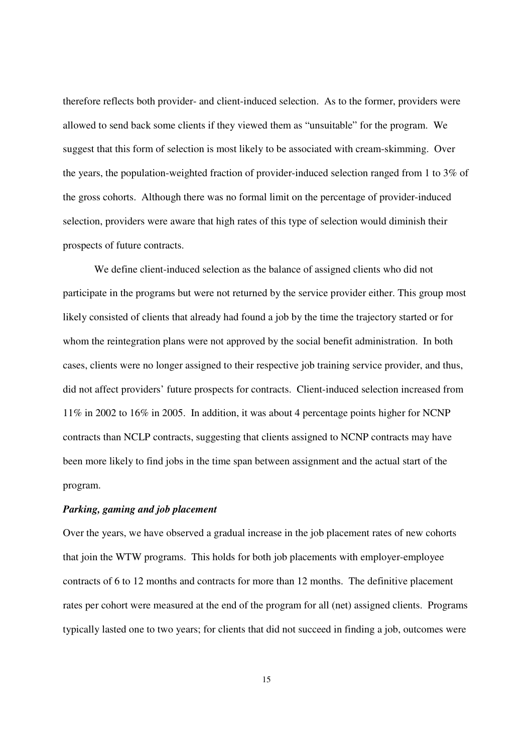therefore reflects both provider- and client-induced selection. As to the former, providers were allowed to send back some clients if they viewed them as "unsuitable" for the program. We suggest that this form of selection is most likely to be associated with cream-skimming. Over the years, the population-weighted fraction of provider-induced selection ranged from 1 to 3% of the gross cohorts. Although there was no formal limit on the percentage of provider-induced selection, providers were aware that high rates of this type of selection would diminish their prospects of future contracts.

We define client-induced selection as the balance of assigned clients who did not participate in the programs but were not returned by the service provider either. This group most likely consisted of clients that already had found a job by the time the trajectory started or for whom the reintegration plans were not approved by the social benefit administration. In both cases, clients were no longer assigned to their respective job training service provider, and thus, did not affect providers' future prospects for contracts. Client-induced selection increased from 11% in 2002 to 16% in 2005. In addition, it was about 4 percentage points higher for NCNP contracts than NCLP contracts, suggesting that clients assigned to NCNP contracts may have been more likely to find jobs in the time span between assignment and the actual start of the program.

#### *Parking, gaming and job placement*

Over the years, we have observed a gradual increase in the job placement rates of new cohorts that join the WTW programs. This holds for both job placements with employer-employee contracts of 6 to 12 months and contracts for more than 12 months. The definitive placement rates per cohort were measured at the end of the program for all (net) assigned clients. Programs typically lasted one to two years; for clients that did not succeed in finding a job, outcomes were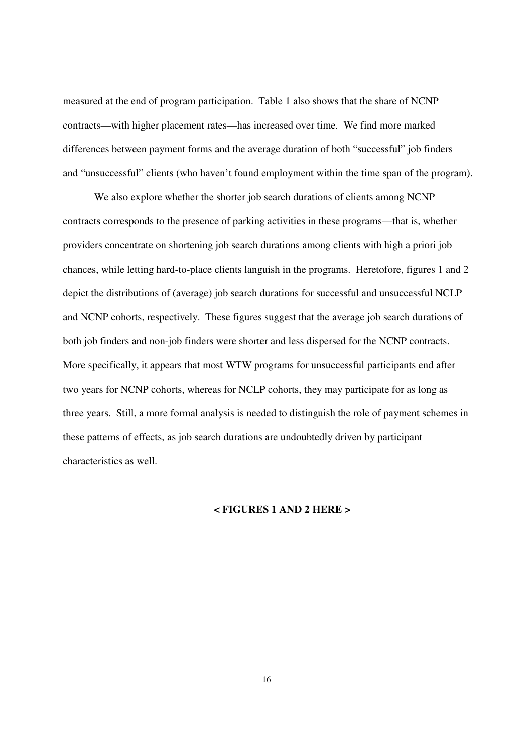measured at the end of program participation. Table 1 also shows that the share of NCNP contracts—with higher placement rates—has increased over time. We find more marked differences between payment forms and the average duration of both "successful" job finders and "unsuccessful" clients (who haven't found employment within the time span of the program).

We also explore whether the shorter job search durations of clients among NCNP contracts corresponds to the presence of parking activities in these programs—that is, whether providers concentrate on shortening job search durations among clients with high a priori job chances, while letting hard-to-place clients languish in the programs. Heretofore, figures 1 and 2 depict the distributions of (average) job search durations for successful and unsuccessful NCLP and NCNP cohorts, respectively. These figures suggest that the average job search durations of both job finders and non-job finders were shorter and less dispersed for the NCNP contracts. More specifically, it appears that most WTW programs for unsuccessful participants end after two years for NCNP cohorts, whereas for NCLP cohorts, they may participate for as long as three years. Still, a more formal analysis is needed to distinguish the role of payment schemes in these patterns of effects, as job search durations are undoubtedly driven by participant characteristics as well.

#### **< FIGURES 1 AND 2 HERE >**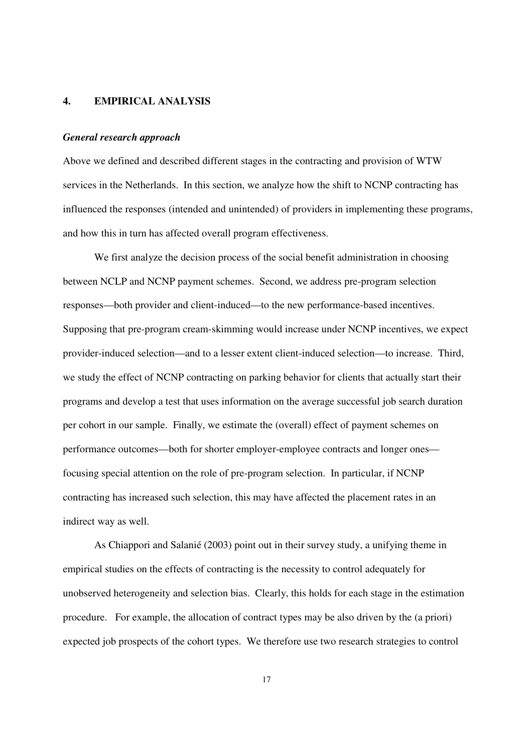#### **4. EMPIRICAL ANALYSIS**

#### *General research approach*

Above we defined and described different stages in the contracting and provision of WTW services in the Netherlands. In this section, we analyze how the shift to NCNP contracting has influenced the responses (intended and unintended) of providers in implementing these programs, and how this in turn has affected overall program effectiveness.

We first analyze the decision process of the social benefit administration in choosing between NCLP and NCNP payment schemes. Second, we address pre-program selection responses—both provider and client-induced—to the new performance-based incentives. Supposing that pre-program cream-skimming would increase under NCNP incentives, we expect provider-induced selection—and to a lesser extent client-induced selection—to increase. Third, we study the effect of NCNP contracting on parking behavior for clients that actually start their programs and develop a test that uses information on the average successful job search duration per cohort in our sample. Finally, we estimate the (overall) effect of payment schemes on performance outcomes—both for shorter employer-employee contracts and longer ones focusing special attention on the role of pre-program selection. In particular, if NCNP contracting has increased such selection, this may have affected the placement rates in an indirect way as well.

As Chiappori and Salanié (2003) point out in their survey study, a unifying theme in empirical studies on the effects of contracting is the necessity to control adequately for unobserved heterogeneity and selection bias. Clearly, this holds for each stage in the estimation procedure. For example, the allocation of contract types may be also driven by the (a priori) expected job prospects of the cohort types. We therefore use two research strategies to control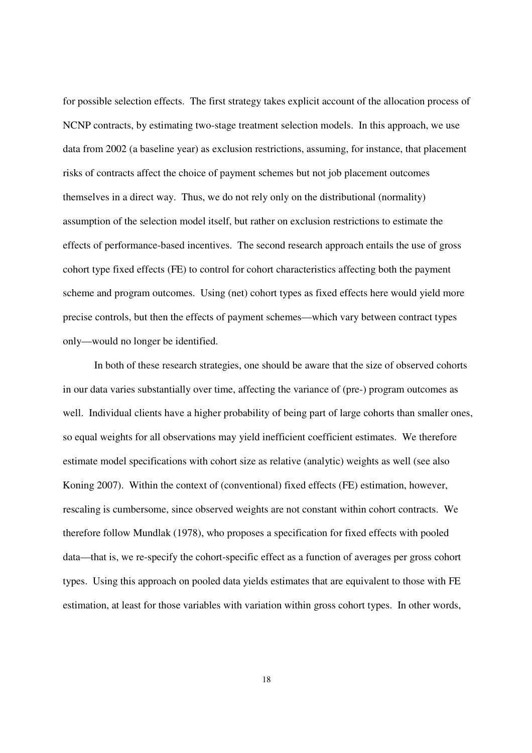for possible selection effects. The first strategy takes explicit account of the allocation process of NCNP contracts, by estimating two-stage treatment selection models. In this approach, we use data from 2002 (a baseline year) as exclusion restrictions, assuming, for instance, that placement risks of contracts affect the choice of payment schemes but not job placement outcomes themselves in a direct way. Thus, we do not rely only on the distributional (normality) assumption of the selection model itself, but rather on exclusion restrictions to estimate the effects of performance-based incentives. The second research approach entails the use of gross cohort type fixed effects (FE) to control for cohort characteristics affecting both the payment scheme and program outcomes. Using (net) cohort types as fixed effects here would yield more precise controls, but then the effects of payment schemes—which vary between contract types only—would no longer be identified.

In both of these research strategies, one should be aware that the size of observed cohorts in our data varies substantially over time, affecting the variance of (pre-) program outcomes as well. Individual clients have a higher probability of being part of large cohorts than smaller ones, so equal weights for all observations may yield inefficient coefficient estimates. We therefore estimate model specifications with cohort size as relative (analytic) weights as well (see also Koning 2007). Within the context of (conventional) fixed effects (FE) estimation, however, rescaling is cumbersome, since observed weights are not constant within cohort contracts. We therefore follow Mundlak (1978), who proposes a specification for fixed effects with pooled data—that is, we re-specify the cohort-specific effect as a function of averages per gross cohort types. Using this approach on pooled data yields estimates that are equivalent to those with FE estimation, at least for those variables with variation within gross cohort types. In other words,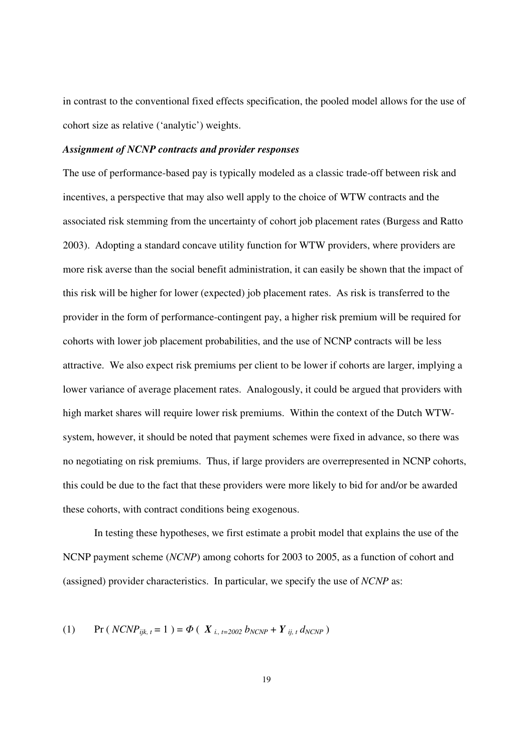in contrast to the conventional fixed effects specification, the pooled model allows for the use of cohort size as relative ('analytic') weights.

#### *Assignment of NCNP contracts and provider responses*

The use of performance-based pay is typically modeled as a classic trade-off between risk and incentives, a perspective that may also well apply to the choice of WTW contracts and the associated risk stemming from the uncertainty of cohort job placement rates (Burgess and Ratto 2003). Adopting a standard concave utility function for WTW providers, where providers are more risk averse than the social benefit administration, it can easily be shown that the impact of this risk will be higher for lower (expected) job placement rates. As risk is transferred to the provider in the form of performance-contingent pay, a higher risk premium will be required for cohorts with lower job placement probabilities, and the use of NCNP contracts will be less attractive. We also expect risk premiums per client to be lower if cohorts are larger, implying a lower variance of average placement rates. Analogously, it could be argued that providers with high market shares will require lower risk premiums. Within the context of the Dutch WTWsystem, however, it should be noted that payment schemes were fixed in advance, so there was no negotiating on risk premiums. Thus, if large providers are overrepresented in NCNP cohorts, this could be due to the fact that these providers were more likely to bid for and/or be awarded these cohorts, with contract conditions being exogenous.

In testing these hypotheses, we first estimate a probit model that explains the use of the NCNP payment scheme (*NCNP*) among cohorts for 2003 to 2005, as a function of cohort and (assigned) provider characteristics. In particular, we specify the use of *NCNP* as:

(1) Pr (  $N CNP_{ijk, t} = 1$  ) =  $\Phi$  (  $X_{i, t=2002} b_{N CNP} + Y_{i, t} d_{N CNP}$  )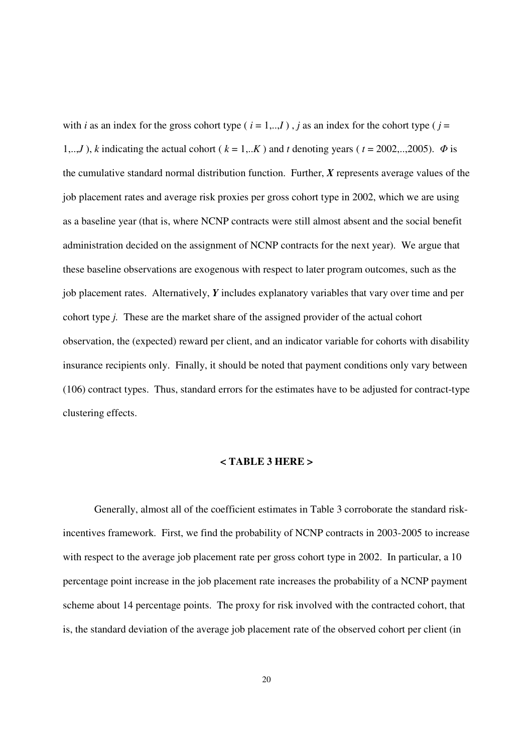with *i* as an index for the gross cohort type ( $i = 1,...,I$ ), *j* as an index for the cohort type ( $j =$ 1,..,*J*), *k* indicating the actual cohort ( $k = 1,..K$ ) and *t* denoting years ( $t = 2002,..,2005$ ).  $\Phi$  is the cumulative standard normal distribution function. Further, *X* represents average values of the job placement rates and average risk proxies per gross cohort type in 2002, which we are using as a baseline year (that is, where NCNP contracts were still almost absent and the social benefit administration decided on the assignment of NCNP contracts for the next year). We argue that these baseline observations are exogenous with respect to later program outcomes, such as the job placement rates. Alternatively, *Y* includes explanatory variables that vary over time and per cohort type *j.* These are the market share of the assigned provider of the actual cohort observation, the (expected) reward per client, and an indicator variable for cohorts with disability insurance recipients only. Finally, it should be noted that payment conditions only vary between (106) contract types. Thus, standard errors for the estimates have to be adjusted for contract-type clustering effects.

### **< TABLE 3 HERE >**

Generally, almost all of the coefficient estimates in Table 3 corroborate the standard riskincentives framework. First, we find the probability of NCNP contracts in 2003-2005 to increase with respect to the average job placement rate per gross cohort type in 2002. In particular, a 10 percentage point increase in the job placement rate increases the probability of a NCNP payment scheme about 14 percentage points. The proxy for risk involved with the contracted cohort, that is, the standard deviation of the average job placement rate of the observed cohort per client (in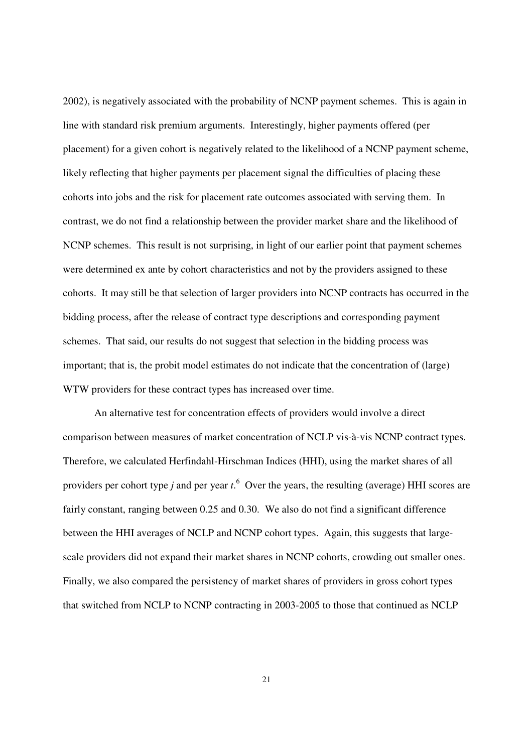2002), is negatively associated with the probability of NCNP payment schemes. This is again in line with standard risk premium arguments. Interestingly, higher payments offered (per placement) for a given cohort is negatively related to the likelihood of a NCNP payment scheme, likely reflecting that higher payments per placement signal the difficulties of placing these cohorts into jobs and the risk for placement rate outcomes associated with serving them. In contrast, we do not find a relationship between the provider market share and the likelihood of NCNP schemes. This result is not surprising, in light of our earlier point that payment schemes were determined ex ante by cohort characteristics and not by the providers assigned to these cohorts. It may still be that selection of larger providers into NCNP contracts has occurred in the bidding process, after the release of contract type descriptions and corresponding payment schemes. That said, our results do not suggest that selection in the bidding process was important; that is, the probit model estimates do not indicate that the concentration of (large) WTW providers for these contract types has increased over time.

An alternative test for concentration effects of providers would involve a direct comparison between measures of market concentration of NCLP vis-à-vis NCNP contract types. Therefore, we calculated Herfindahl-Hirschman Indices (HHI), using the market shares of all providers per cohort type *j* and per year *t*. 6 Over the years, the resulting (average) HHI scores are fairly constant, ranging between 0.25 and 0.30. We also do not find a significant difference between the HHI averages of NCLP and NCNP cohort types. Again, this suggests that largescale providers did not expand their market shares in NCNP cohorts, crowding out smaller ones. Finally, we also compared the persistency of market shares of providers in gross cohort types that switched from NCLP to NCNP contracting in 2003-2005 to those that continued as NCLP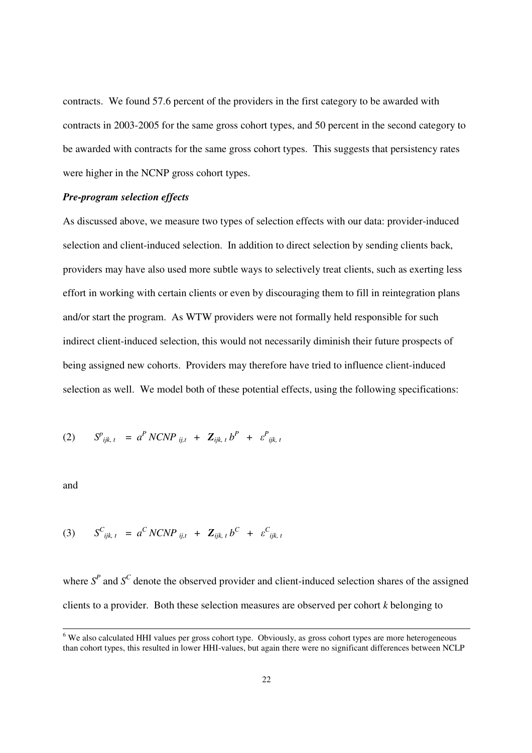contracts. We found 57.6 percent of the providers in the first category to be awarded with contracts in 2003-2005 for the same gross cohort types, and 50 percent in the second category to be awarded with contracts for the same gross cohort types. This suggests that persistency rates were higher in the NCNP gross cohort types.

### *Pre-program selection effects*

As discussed above, we measure two types of selection effects with our data: provider-induced selection and client-induced selection. In addition to direct selection by sending clients back, providers may have also used more subtle ways to selectively treat clients, such as exerting less effort in working with certain clients or even by discouraging them to fill in reintegration plans and/or start the program. As WTW providers were not formally held responsible for such indirect client-induced selection, this would not necessarily diminish their future prospects of being assigned new cohorts. Providers may therefore have tried to influence client-induced selection as well. We model both of these potential effects, using the following specifications:

(2) 
$$
S^{p}_{ijk, t} = a^{P} N C N P_{ij, t} + \mathbf{Z}_{ijk, t} b^{P} + \varepsilon^{P}_{ijk, t}
$$

and

-

$$
(3) \qquad S^{C}_{ijk, t} = a^{C} N C N P_{ij, t} + Z_{ijk, t} b^{C} + \varepsilon^{C}_{ijk, t}
$$

where  $S<sup>P</sup>$  and  $S<sup>C</sup>$  denote the observed provider and client-induced selection shares of the assigned clients to a provider. Both these selection measures are observed per cohort *k* belonging to

<sup>&</sup>lt;sup>6</sup> We also calculated HHI values per gross cohort type. Obviously, as gross cohort types are more heterogeneous than cohort types, this resulted in lower HHI-values, but again there were no significant differences between NCLP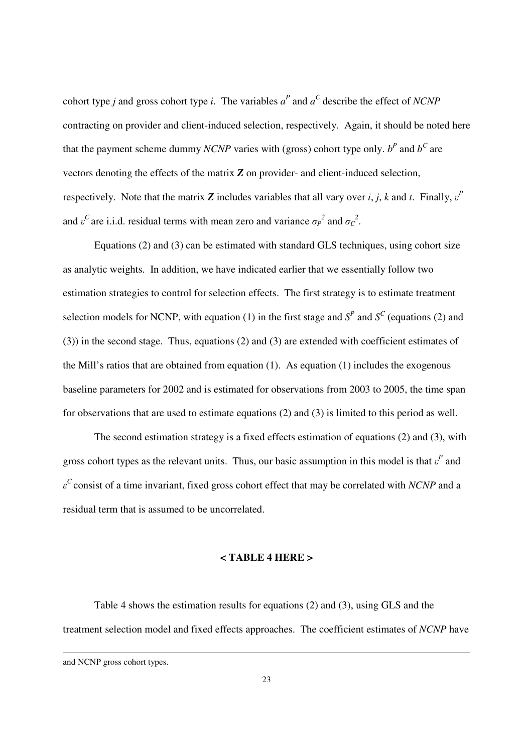cohort type *j* and gross cohort type *i*. The variables  $a^P$  and  $a^C$  describe the effect of *NCNP* contracting on provider and client-induced selection, respectively. Again, it should be noted here that the payment scheme dummy *NCNP* varies with (gross) cohort type only.  $b^P$  and  $b^C$  are vectors denoting the effects of the matrix *Z* on provider- and client-induced selection, respectively. Note that the matrix  $Z$  includes variables that all vary over  $i, j, k$  and  $t$ . Finally,  $\varepsilon^P$ and  $\varepsilon^C$  are i.i.d. residual terms with mean zero and variance  $\sigma_P^2$  and  $\sigma_C^2$ .

 Equations (2) and (3) can be estimated with standard GLS techniques, using cohort size as analytic weights. In addition, we have indicated earlier that we essentially follow two estimation strategies to control for selection effects. The first strategy is to estimate treatment selection models for NCNP, with equation (1) in the first stage and  $S<sup>P</sup>$  and  $S<sup>C</sup>$  (equations (2) and (3)) in the second stage. Thus, equations (2) and (3) are extended with coefficient estimates of the Mill's ratios that are obtained from equation (1). As equation (1) includes the exogenous baseline parameters for 2002 and is estimated for observations from 2003 to 2005, the time span for observations that are used to estimate equations (2) and (3) is limited to this period as well.

The second estimation strategy is a fixed effects estimation of equations (2) and (3), with gross cohort types as the relevant units. Thus, our basic assumption in this model is that  $\varepsilon^P$  and *ε <sup>C</sup>*consist of a time invariant, fixed gross cohort effect that may be correlated with *NCNP* and a residual term that is assumed to be uncorrelated.

#### **< TABLE 4 HERE >**

Table 4 shows the estimation results for equations (2) and (3), using GLS and the treatment selection model and fixed effects approaches. The coefficient estimates of *NCNP* have

-

and NCNP gross cohort types.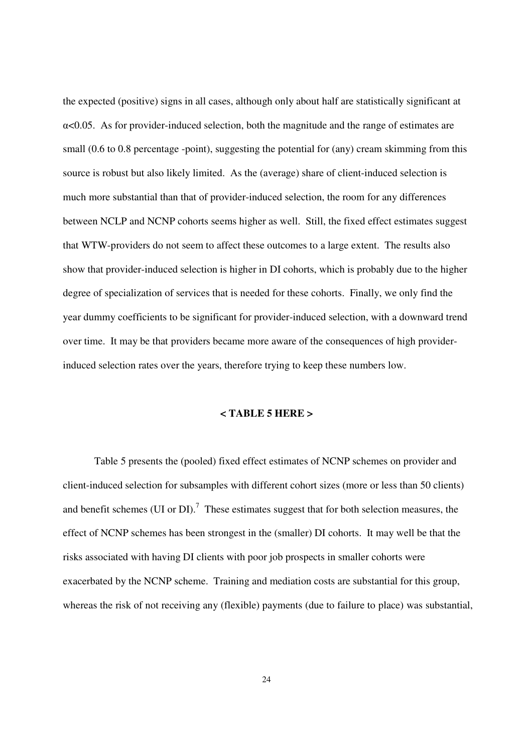the expected (positive) signs in all cases, although only about half are statistically significant at  $\alpha$ <0.05. As for provider-induced selection, both the magnitude and the range of estimates are small (0.6 to 0.8 percentage -point), suggesting the potential for (any) cream skimming from this source is robust but also likely limited. As the (average) share of client-induced selection is much more substantial than that of provider-induced selection, the room for any differences between NCLP and NCNP cohorts seems higher as well. Still, the fixed effect estimates suggest that WTW-providers do not seem to affect these outcomes to a large extent. The results also show that provider-induced selection is higher in DI cohorts, which is probably due to the higher degree of specialization of services that is needed for these cohorts. Finally, we only find the year dummy coefficients to be significant for provider-induced selection, with a downward trend over time. It may be that providers became more aware of the consequences of high providerinduced selection rates over the years, therefore trying to keep these numbers low.

#### **< TABLE 5 HERE >**

 Table 5 presents the (pooled) fixed effect estimates of NCNP schemes on provider and client-induced selection for subsamples with different cohort sizes (more or less than 50 clients) and benefit schemes (UI or DI).<sup>7</sup> These estimates suggest that for both selection measures, the effect of NCNP schemes has been strongest in the (smaller) DI cohorts. It may well be that the risks associated with having DI clients with poor job prospects in smaller cohorts were exacerbated by the NCNP scheme. Training and mediation costs are substantial for this group, whereas the risk of not receiving any (flexible) payments (due to failure to place) was substantial,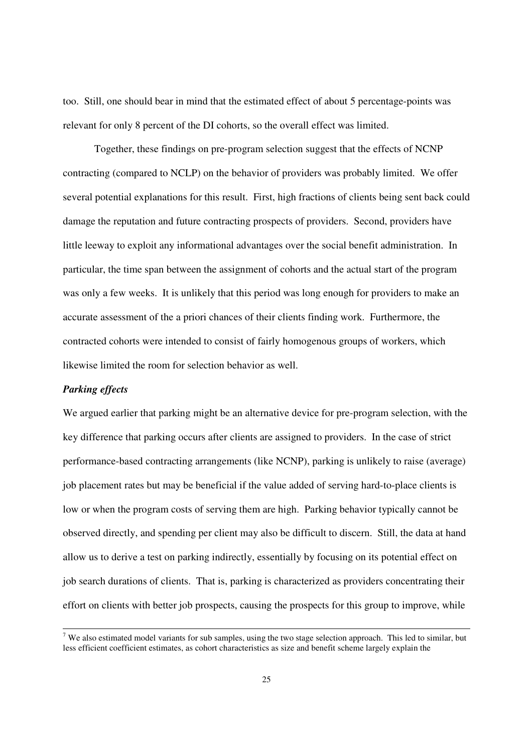too. Still, one should bear in mind that the estimated effect of about 5 percentage-points was relevant for only 8 percent of the DI cohorts, so the overall effect was limited.

Together, these findings on pre-program selection suggest that the effects of NCNP contracting (compared to NCLP) on the behavior of providers was probably limited. We offer several potential explanations for this result. First, high fractions of clients being sent back could damage the reputation and future contracting prospects of providers. Second, providers have little leeway to exploit any informational advantages over the social benefit administration. In particular, the time span between the assignment of cohorts and the actual start of the program was only a few weeks. It is unlikely that this period was long enough for providers to make an accurate assessment of the a priori chances of their clients finding work. Furthermore, the contracted cohorts were intended to consist of fairly homogenous groups of workers, which likewise limited the room for selection behavior as well.

### *Parking effects*

We argued earlier that parking might be an alternative device for pre-program selection, with the key difference that parking occurs after clients are assigned to providers. In the case of strict performance-based contracting arrangements (like NCNP), parking is unlikely to raise (average) job placement rates but may be beneficial if the value added of serving hard-to-place clients is low or when the program costs of serving them are high. Parking behavior typically cannot be observed directly, and spending per client may also be difficult to discern. Still, the data at hand allow us to derive a test on parking indirectly, essentially by focusing on its potential effect on job search durations of clients. That is, parking is characterized as providers concentrating their effort on clients with better job prospects, causing the prospects for this group to improve, while

 $\overline{\sigma}$  We also estimated model variants for sub samples, using the two stage selection approach. This led to similar, but less efficient coefficient estimates, as cohort characteristics as size and benefit scheme largely explain the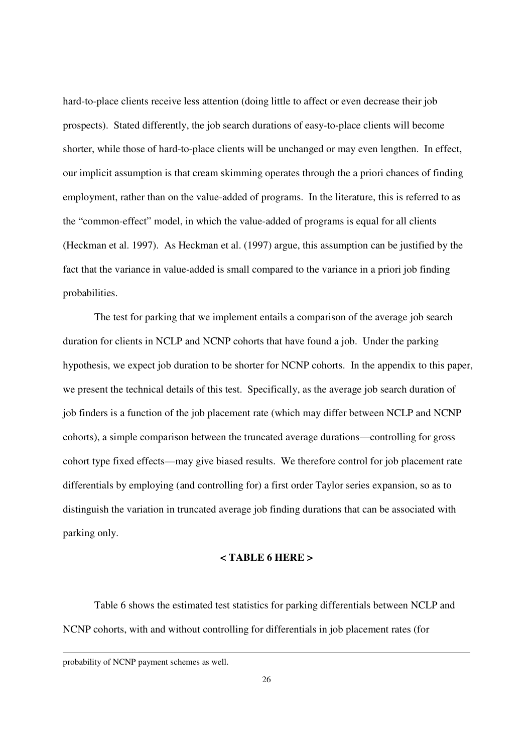hard-to-place clients receive less attention (doing little to affect or even decrease their job prospects). Stated differently, the job search durations of easy-to-place clients will become shorter, while those of hard-to-place clients will be unchanged or may even lengthen. In effect, our implicit assumption is that cream skimming operates through the a priori chances of finding employment, rather than on the value-added of programs. In the literature, this is referred to as the "common-effect" model, in which the value-added of programs is equal for all clients (Heckman et al. 1997). As Heckman et al. (1997) argue, this assumption can be justified by the fact that the variance in value-added is small compared to the variance in a priori job finding probabilities.

The test for parking that we implement entails a comparison of the average job search duration for clients in NCLP and NCNP cohorts that have found a job. Under the parking hypothesis, we expect job duration to be shorter for NCNP cohorts. In the appendix to this paper, we present the technical details of this test. Specifically, as the average job search duration of job finders is a function of the job placement rate (which may differ between NCLP and NCNP cohorts), a simple comparison between the truncated average durations—controlling for gross cohort type fixed effects—may give biased results. We therefore control for job placement rate differentials by employing (and controlling for) a first order Taylor series expansion, so as to distinguish the variation in truncated average job finding durations that can be associated with parking only.

### **< TABLE 6 HERE >**

Table 6 shows the estimated test statistics for parking differentials between NCLP and NCNP cohorts, with and without controlling for differentials in job placement rates (for

-

probability of NCNP payment schemes as well.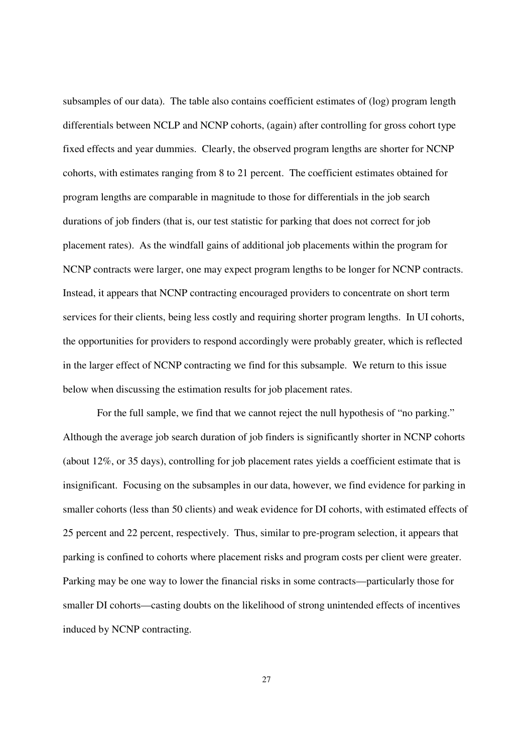subsamples of our data). The table also contains coefficient estimates of (log) program length differentials between NCLP and NCNP cohorts, (again) after controlling for gross cohort type fixed effects and year dummies. Clearly, the observed program lengths are shorter for NCNP cohorts, with estimates ranging from 8 to 21 percent. The coefficient estimates obtained for program lengths are comparable in magnitude to those for differentials in the job search durations of job finders (that is, our test statistic for parking that does not correct for job placement rates). As the windfall gains of additional job placements within the program for NCNP contracts were larger, one may expect program lengths to be longer for NCNP contracts. Instead, it appears that NCNP contracting encouraged providers to concentrate on short term services for their clients, being less costly and requiring shorter program lengths. In UI cohorts, the opportunities for providers to respond accordingly were probably greater, which is reflected in the larger effect of NCNP contracting we find for this subsample. We return to this issue below when discussing the estimation results for job placement rates.

 For the full sample, we find that we cannot reject the null hypothesis of "no parking." Although the average job search duration of job finders is significantly shorter in NCNP cohorts (about 12%, or 35 days), controlling for job placement rates yields a coefficient estimate that is insignificant. Focusing on the subsamples in our data, however, we find evidence for parking in smaller cohorts (less than 50 clients) and weak evidence for DI cohorts, with estimated effects of 25 percent and 22 percent, respectively. Thus, similar to pre-program selection, it appears that parking is confined to cohorts where placement risks and program costs per client were greater. Parking may be one way to lower the financial risks in some contracts—particularly those for smaller DI cohorts—casting doubts on the likelihood of strong unintended effects of incentives induced by NCNP contracting.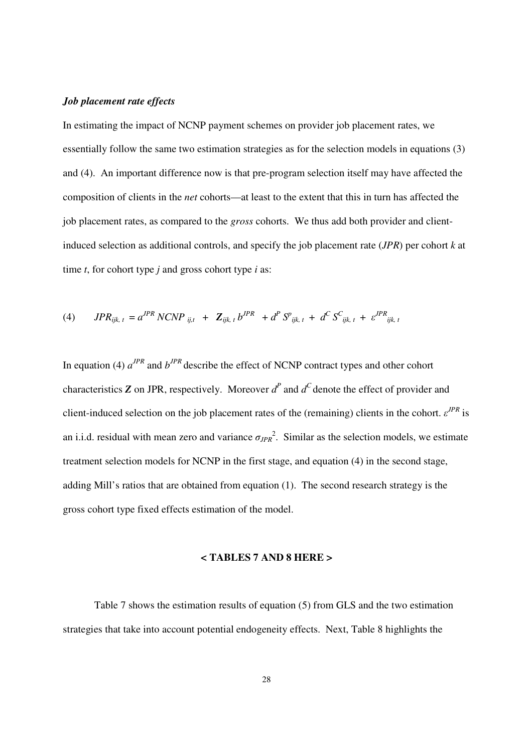### *Job placement rate effects*

In estimating the impact of NCNP payment schemes on provider job placement rates, we essentially follow the same two estimation strategies as for the selection models in equations (3) and (4). An important difference now is that pre-program selection itself may have affected the composition of clients in the *net* cohorts—at least to the extent that this in turn has affected the job placement rates, as compared to the *gross* cohorts. We thus add both provider and clientinduced selection as additional controls, and specify the job placement rate (*JPR*) per cohort *k* at time *t*, for cohort type *j* and gross cohort type *i* as:

(4) 
$$
JPR_{ijk, t} = a^{JPR} NCNP_{ij, t} + \mathbf{Z}_{ijk, t} b^{JPR} + d^{P} S^{p}_{ijk, t} + d^{C} S^{C}_{ijk, t} + \varepsilon^{JPR}_{ijk, t}
$$

In equation (4)  $a^{JPR}$  and  $b^{JPR}$  describe the effect of NCNP contract types and other cohort characteristics **Z** on JPR, respectively. Moreover  $d^P$  and  $d^C$  denote the effect of provider and client-induced selection on the job placement rates of the (remaining) clients in the cohort. *ε JPR* is an i.i.d. residual with mean zero and variance  $\sigma_{JPR}^2$ . Similar as the selection models, we estimate treatment selection models for NCNP in the first stage, and equation (4) in the second stage, adding Mill's ratios that are obtained from equation (1). The second research strategy is the gross cohort type fixed effects estimation of the model.

#### **< TABLES 7 AND 8 HERE >**

 Table 7 shows the estimation results of equation (5) from GLS and the two estimation strategies that take into account potential endogeneity effects. Next, Table 8 highlights the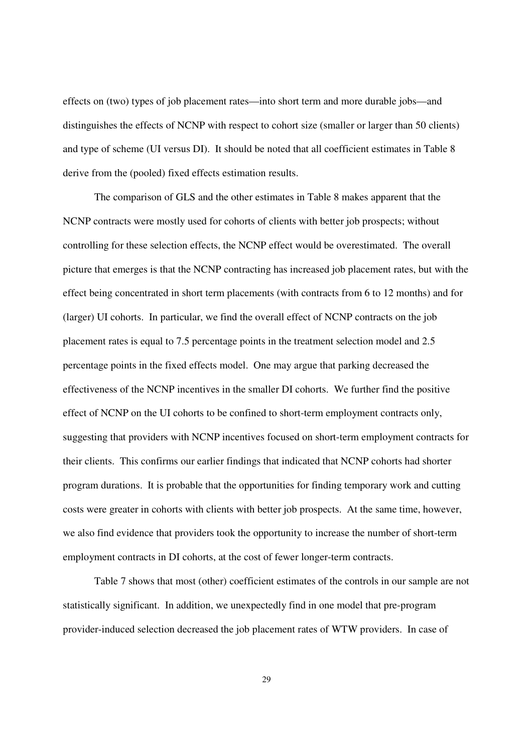effects on (two) types of job placement rates—into short term and more durable jobs—and distinguishes the effects of NCNP with respect to cohort size (smaller or larger than 50 clients) and type of scheme (UI versus DI). It should be noted that all coefficient estimates in Table 8 derive from the (pooled) fixed effects estimation results.

The comparison of GLS and the other estimates in Table 8 makes apparent that the NCNP contracts were mostly used for cohorts of clients with better job prospects; without controlling for these selection effects, the NCNP effect would be overestimated. The overall picture that emerges is that the NCNP contracting has increased job placement rates, but with the effect being concentrated in short term placements (with contracts from 6 to 12 months) and for (larger) UI cohorts. In particular, we find the overall effect of NCNP contracts on the job placement rates is equal to 7.5 percentage points in the treatment selection model and 2.5 percentage points in the fixed effects model. One may argue that parking decreased the effectiveness of the NCNP incentives in the smaller DI cohorts. We further find the positive effect of NCNP on the UI cohorts to be confined to short-term employment contracts only, suggesting that providers with NCNP incentives focused on short-term employment contracts for their clients. This confirms our earlier findings that indicated that NCNP cohorts had shorter program durations. It is probable that the opportunities for finding temporary work and cutting costs were greater in cohorts with clients with better job prospects. At the same time, however, we also find evidence that providers took the opportunity to increase the number of short-term employment contracts in DI cohorts, at the cost of fewer longer-term contracts.

Table 7 shows that most (other) coefficient estimates of the controls in our sample are not statistically significant. In addition, we unexpectedly find in one model that pre-program provider-induced selection decreased the job placement rates of WTW providers. In case of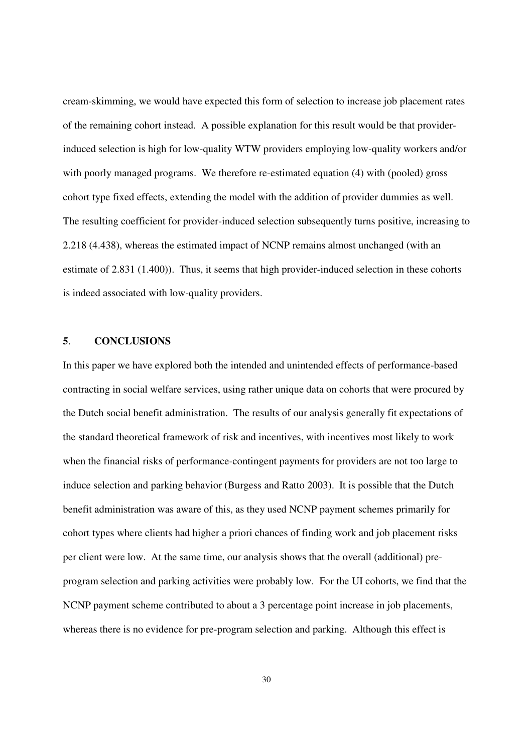cream-skimming, we would have expected this form of selection to increase job placement rates of the remaining cohort instead. A possible explanation for this result would be that providerinduced selection is high for low-quality WTW providers employing low-quality workers and/or with poorly managed programs. We therefore re-estimated equation (4) with (pooled) gross cohort type fixed effects, extending the model with the addition of provider dummies as well. The resulting coefficient for provider-induced selection subsequently turns positive, increasing to 2.218 (4.438), whereas the estimated impact of NCNP remains almost unchanged (with an estimate of 2.831 (1.400)). Thus, it seems that high provider-induced selection in these cohorts is indeed associated with low-quality providers.

## **5**. **CONCLUSIONS**

In this paper we have explored both the intended and unintended effects of performance-based contracting in social welfare services, using rather unique data on cohorts that were procured by the Dutch social benefit administration. The results of our analysis generally fit expectations of the standard theoretical framework of risk and incentives, with incentives most likely to work when the financial risks of performance-contingent payments for providers are not too large to induce selection and parking behavior (Burgess and Ratto 2003). It is possible that the Dutch benefit administration was aware of this, as they used NCNP payment schemes primarily for cohort types where clients had higher a priori chances of finding work and job placement risks per client were low. At the same time, our analysis shows that the overall (additional) preprogram selection and parking activities were probably low. For the UI cohorts, we find that the NCNP payment scheme contributed to about a 3 percentage point increase in job placements, whereas there is no evidence for pre-program selection and parking. Although this effect is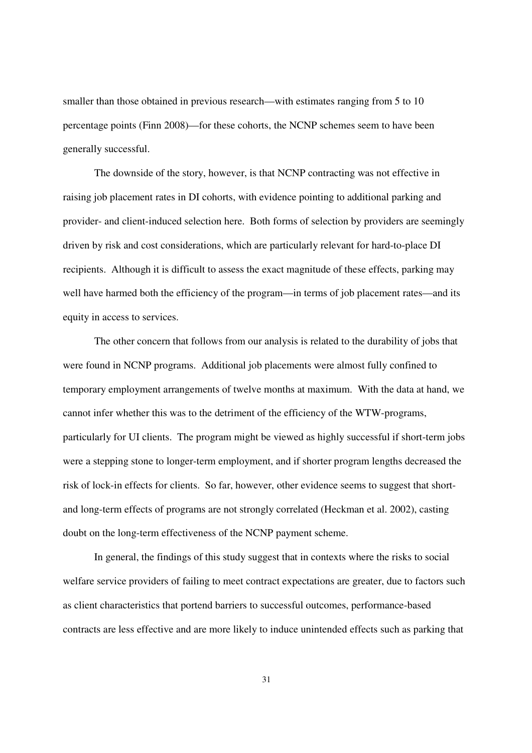smaller than those obtained in previous research—with estimates ranging from 5 to 10 percentage points (Finn 2008)—for these cohorts, the NCNP schemes seem to have been generally successful.

The downside of the story, however, is that NCNP contracting was not effective in raising job placement rates in DI cohorts, with evidence pointing to additional parking and provider- and client-induced selection here. Both forms of selection by providers are seemingly driven by risk and cost considerations, which are particularly relevant for hard-to-place DI recipients. Although it is difficult to assess the exact magnitude of these effects, parking may well have harmed both the efficiency of the program—in terms of job placement rates—and its equity in access to services.

The other concern that follows from our analysis is related to the durability of jobs that were found in NCNP programs. Additional job placements were almost fully confined to temporary employment arrangements of twelve months at maximum. With the data at hand, we cannot infer whether this was to the detriment of the efficiency of the WTW-programs, particularly for UI clients. The program might be viewed as highly successful if short-term jobs were a stepping stone to longer-term employment, and if shorter program lengths decreased the risk of lock-in effects for clients. So far, however, other evidence seems to suggest that shortand long-term effects of programs are not strongly correlated (Heckman et al. 2002), casting doubt on the long-term effectiveness of the NCNP payment scheme.

In general, the findings of this study suggest that in contexts where the risks to social welfare service providers of failing to meet contract expectations are greater, due to factors such as client characteristics that portend barriers to successful outcomes, performance-based contracts are less effective and are more likely to induce unintended effects such as parking that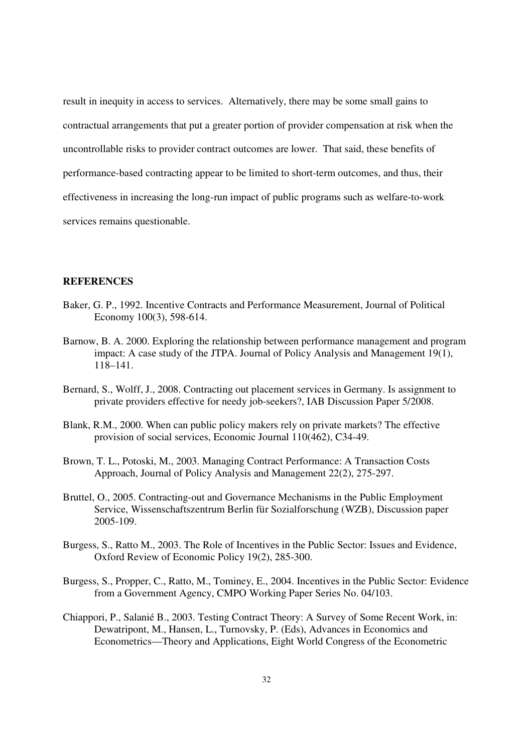result in inequity in access to services. Alternatively, there may be some small gains to contractual arrangements that put a greater portion of provider compensation at risk when the uncontrollable risks to provider contract outcomes are lower. That said, these benefits of performance-based contracting appear to be limited to short-term outcomes, and thus, their effectiveness in increasing the long-run impact of public programs such as welfare-to-work services remains questionable.

### **REFERENCES**

- Baker, G. P., 1992. Incentive Contracts and Performance Measurement, Journal of Political Economy 100(3), 598-614.
- Barnow, B. A. 2000. Exploring the relationship between performance management and program impact: A case study of the JTPA. Journal of Policy Analysis and Management 19(1), 118–141.
- Bernard, S., Wolff, J., 2008. Contracting out placement services in Germany. Is assignment to private providers effective for needy job-seekers?, IAB Discussion Paper 5/2008.
- Blank, R.M., 2000. When can public policy makers rely on private markets? The effective provision of social services, Economic Journal 110(462), C34-49.
- Brown, T. L., Potoski, M., 2003. Managing Contract Performance: A Transaction Costs Approach, Journal of Policy Analysis and Management 22(2), 275-297.
- Bruttel, O., 2005. Contracting-out and Governance Mechanisms in the Public Employment Service, Wissenschaftszentrum Berlin für Sozialforschung (WZB), Discussion paper 2005-109.
- Burgess, S., Ratto M., 2003. The Role of Incentives in the Public Sector: Issues and Evidence, Oxford Review of Economic Policy 19(2), 285-300.
- Burgess, S., Propper, C., Ratto, M., Tominey, E., 2004. Incentives in the Public Sector: Evidence from a Government Agency, CMPO Working Paper Series No. 04/103.
- Chiappori, P., Salanié B., 2003. Testing Contract Theory: A Survey of Some Recent Work, in: Dewatripont, M., Hansen, L., Turnovsky, P. (Eds), Advances in Economics and Econometrics—Theory and Applications, Eight World Congress of the Econometric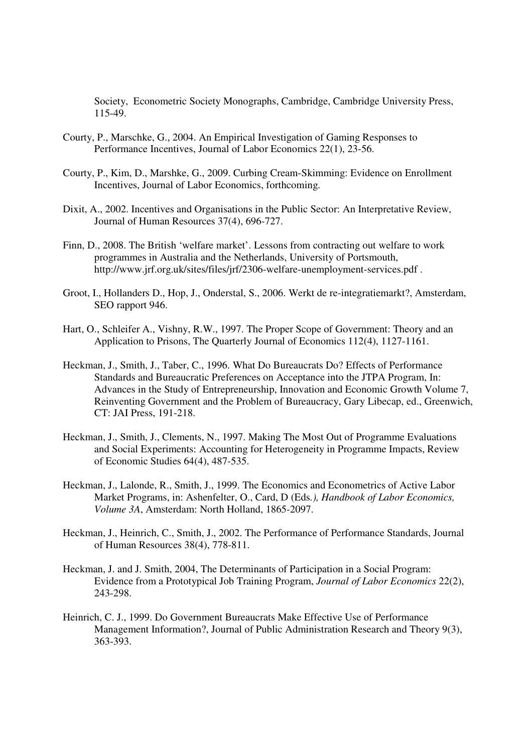Society, Econometric Society Monographs, Cambridge, Cambridge University Press, 115-49.

- Courty, P., Marschke, G., 2004. An Empirical Investigation of Gaming Responses to Performance Incentives, Journal of Labor Economics 22(1), 23-56.
- Courty, P., Kim, D., Marshke, G., 2009. Curbing Cream-Skimming: Evidence on Enrollment Incentives, Journal of Labor Economics, forthcoming.
- Dixit, A., 2002. Incentives and Organisations in the Public Sector: An Interpretative Review, Journal of Human Resources 37(4), 696-727.
- Finn, D., 2008. The British 'welfare market'. Lessons from contracting out welfare to work programmes in Australia and the Netherlands, University of Portsmouth, http://www.jrf.org.uk/sites/files/jrf/2306-welfare-unemployment-services.pdf .
- Groot, I., Hollanders D., Hop, J., Onderstal, S., 2006. Werkt de re-integratiemarkt?, Amsterdam, SEO rapport 946.
- Hart, O., Schleifer A., Vishny, R.W., 1997. The Proper Scope of Government: Theory and an Application to Prisons, The Quarterly Journal of Economics 112(4), 1127-1161.
- Heckman, J., Smith, J., Taber, C., 1996. What Do Bureaucrats Do? Effects of Performance Standards and Bureaucratic Preferences on Acceptance into the JTPA Program, In: Advances in the Study of Entrepreneurship, Innovation and Economic Growth Volume 7, Reinventing Government and the Problem of Bureaucracy, Gary Libecap, ed., Greenwich, CT: JAI Press, 191-218.
- Heckman, J., Smith, J., Clements, N., 1997. Making The Most Out of Programme Evaluations and Social Experiments: Accounting for Heterogeneity in Programme Impacts, Review of Economic Studies 64(4), 487-535.
- Heckman, J., Lalonde, R., Smith, J., 1999. The Economics and Econometrics of Active Labor Market Programs, in: Ashenfelter, O., Card, D (Eds*.), Handbook of Labor Economics, Volume 3A*, Amsterdam: North Holland, 1865-2097.
- Heckman, J., Heinrich, C., Smith, J., 2002. The Performance of Performance Standards, Journal of Human Resources 38(4), 778-811.
- Heckman, J. and J. Smith, 2004, The Determinants of Participation in a Social Program: Evidence from a Prototypical Job Training Program, *Journal of Labor Economics* 22(2), 243-298.
- Heinrich, C. J., 1999. Do Government Bureaucrats Make Effective Use of Performance Management Information?, Journal of Public Administration Research and Theory 9(3), 363-393.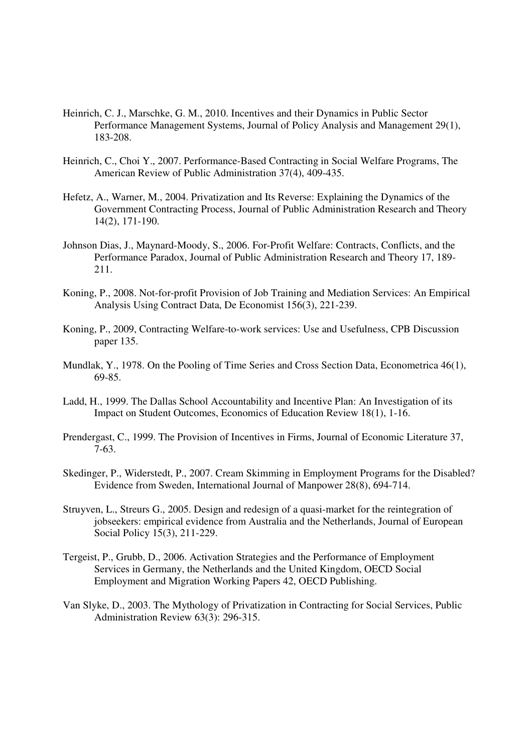- Heinrich, C. J., Marschke, G. M., 2010. Incentives and their Dynamics in Public Sector Performance Management Systems, Journal of Policy Analysis and Management 29(1), 183-208.
- Heinrich, C., Choi Y., 2007. Performance-Based Contracting in Social Welfare Programs, The American Review of Public Administration 37(4), 409-435.
- Hefetz, A., Warner, M., 2004. Privatization and Its Reverse: Explaining the Dynamics of the Government Contracting Process, Journal of Public Administration Research and Theory 14(2), 171-190.
- Johnson Dias, J., Maynard-Moody, S., 2006. For-Profit Welfare: Contracts, Conflicts, and the Performance Paradox, Journal of Public Administration Research and Theory 17, 189- 211.
- Koning, P., 2008. Not-for-profit Provision of Job Training and Mediation Services: An Empirical Analysis Using Contract Data, De Economist 156(3), 221-239.
- Koning, P., 2009, Contracting Welfare-to-work services: Use and Usefulness, CPB Discussion paper 135.
- Mundlak, Y., 1978. On the Pooling of Time Series and Cross Section Data, Econometrica 46(1), 69-85.
- Ladd, H., 1999. The Dallas School Accountability and Incentive Plan: An Investigation of its Impact on Student Outcomes, Economics of Education Review 18(1), 1-16.
- Prendergast, C., 1999. The Provision of Incentives in Firms, Journal of Economic Literature 37, 7-63.
- Skedinger, P., Widerstedt, P., 2007. Cream Skimming in Employment Programs for the Disabled? Evidence from Sweden, International Journal of Manpower 28(8), 694-714.
- Struyven, L., Streurs G., 2005. Design and redesign of a quasi-market for the reintegration of jobseekers: empirical evidence from Australia and the Netherlands, Journal of European Social Policy 15(3), 211-229.
- Tergeist, P., Grubb, D., 2006. Activation Strategies and the Performance of Employment Services in Germany, the Netherlands and the United Kingdom, OECD Social Employment and Migration Working Papers 42, OECD Publishing.
- Van Slyke, D., 2003. The Mythology of Privatization in Contracting for Social Services, Public Administration Review 63(3): 296-315.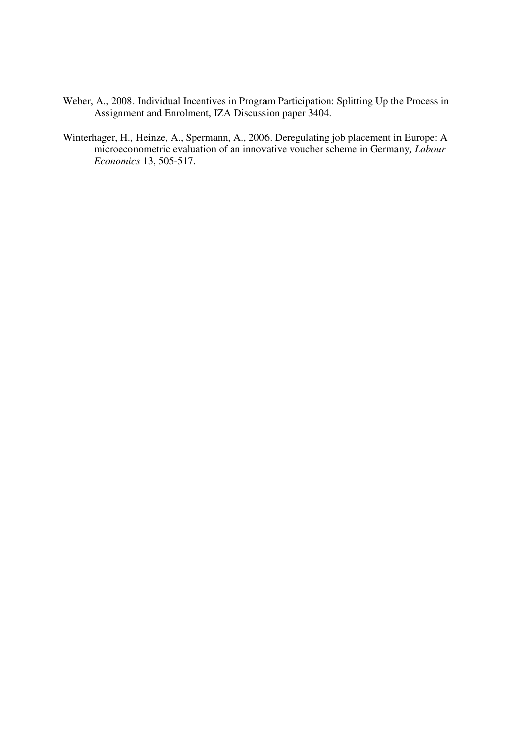- Weber, A., 2008. Individual Incentives in Program Participation: Splitting Up the Process in Assignment and Enrolment, IZA Discussion paper 3404.
- Winterhager, H., Heinze, A., Spermann, A., 2006. Deregulating job placement in Europe: A microeconometric evaluation of an innovative voucher scheme in Germany*, Labour Economics* 13, 505-517.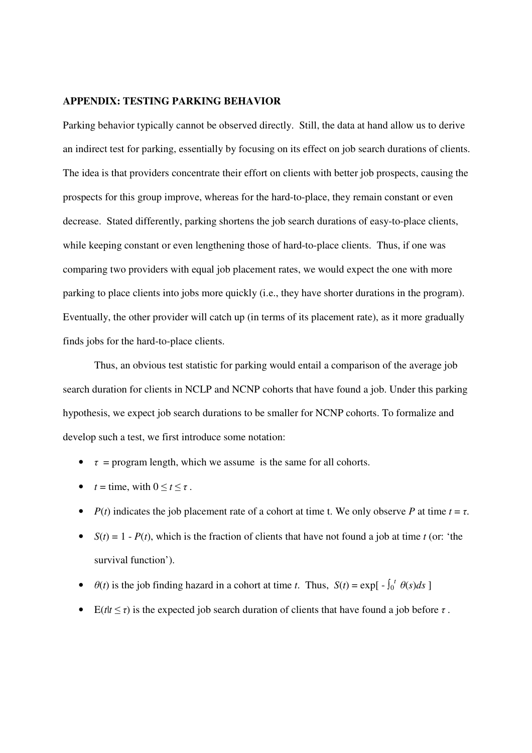### **APPENDIX: TESTING PARKING BEHAVIOR**

Parking behavior typically cannot be observed directly. Still, the data at hand allow us to derive an indirect test for parking, essentially by focusing on its effect on job search durations of clients. The idea is that providers concentrate their effort on clients with better job prospects, causing the prospects for this group improve, whereas for the hard-to-place, they remain constant or even decrease. Stated differently, parking shortens the job search durations of easy-to-place clients, while keeping constant or even lengthening those of hard-to-place clients. Thus, if one was comparing two providers with equal job placement rates, we would expect the one with more parking to place clients into jobs more quickly (i.e., they have shorter durations in the program). Eventually, the other provider will catch up (in terms of its placement rate), as it more gradually finds jobs for the hard-to-place clients.

Thus, an obvious test statistic for parking would entail a comparison of the average job search duration for clients in NCLP and NCNP cohorts that have found a job. Under this parking hypothesis, we expect job search durations to be smaller for NCNP cohorts. To formalize and develop such a test, we first introduce some notation:

- $\tau$  = program length, which we assume is the same for all cohorts.
- $t = \text{time}, \text{ with } 0 \leq t \leq \tau.$
- *P(t)* indicates the job placement rate of a cohort at time *t*. We only observe *P* at time  $t = \tau$ .
- $S(t) = 1 P(t)$ , which is the fraction of clients that have not found a job at time *t* (or: 'the survival function').
- $\theta(t)$  is the job finding hazard in a cohort at time *t*. Thus,  $S(t) = \exp[-\int_0^t \theta(s)ds]$
- E( $t$  $t \leq \tau$ ) is the expected job search duration of clients that have found a job before  $\tau$ .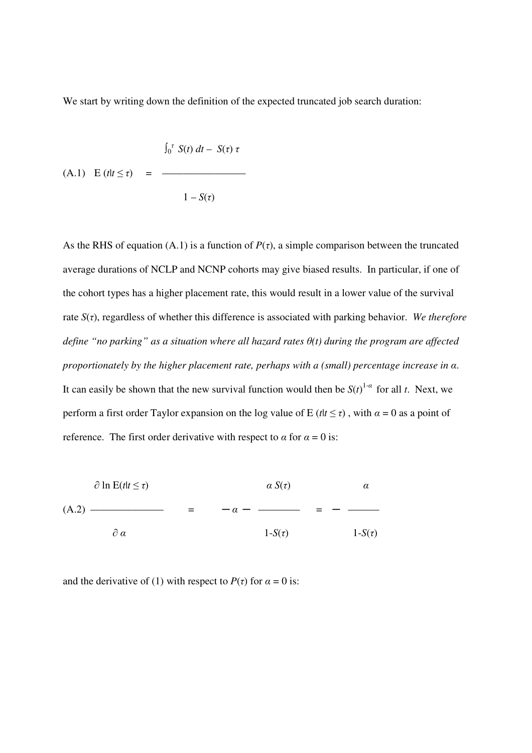We start by writing down the definition of the expected truncated job search duration:

$$
\int_0^{\tau} S(t) dt - S(\tau) \tau
$$
  
(A.1)  $E(t|t \le \tau) =$  \_\_\_\_\_\_\_\_  

$$
1 - S(\tau)
$$

As the RHS of equation (A.1) is a function of  $P(\tau)$ , a simple comparison between the truncated average durations of NCLP and NCNP cohorts may give biased results. In particular, if one of the cohort types has a higher placement rate, this would result in a lower value of the survival rate *S*(*τ*), regardless of whether this difference is associated with parking behavior. *We therefore define "no parking" as a situation where all hazard rates θ(t) during the program are affected proportionately by the higher placement rate, perhaps with a (small) percentage increase in α*. It can easily be shown that the new survival function would then be  $S(t)^{1-\alpha}$  for all *t*. Next, we perform a first order Taylor expansion on the log value of E ( $t/t \leq \tau$ ), with  $\alpha = 0$  as a point of reference. The first order derivative with respect to  $\alpha$  for  $\alpha = 0$  is:

| $\partial \ln E(t t \leq \tau)$ | $\alpha S(\tau)$ | α           |
|---------------------------------|------------------|-------------|
| $(A.2)$ -                       | $-\alpha$        |             |
| $\partial \alpha$               | $1-S(\tau)$      | $1-S(\tau)$ |

and the derivative of (1) with respect to  $P(\tau)$  for  $\alpha = 0$  is: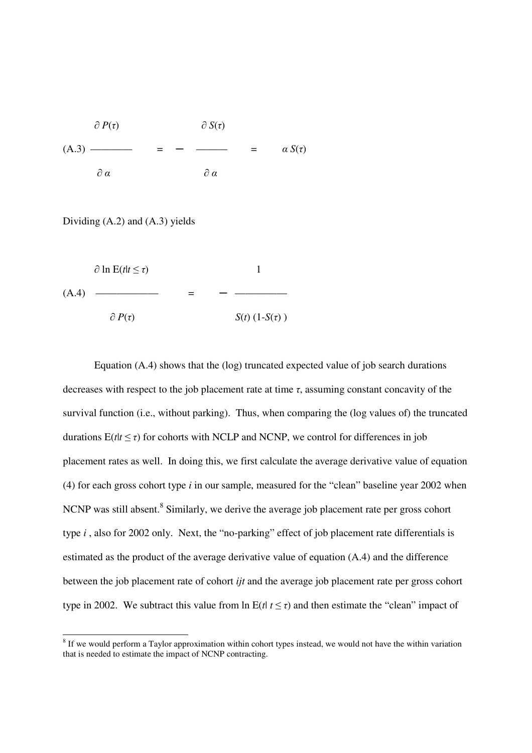

Dividing (A.2) and (A.3) yields

 $\partial \ln E(t|t \leq \tau)$  1  $(A.4)$  —  $\partial P(\tau)$  *S*(*t*) (1-*S*(*τ*))

Equation (A.4) shows that the (log) truncated expected value of job search durations decreases with respect to the job placement rate at time *τ*, assuming constant concavity of the survival function (i.e., without parking). Thus, when comparing the (log values of) the truncated durations  $E(t|t \leq \tau)$  for cohorts with NCLP and NCNP, we control for differences in job placement rates as well. In doing this, we first calculate the average derivative value of equation (4) for each gross cohort type *i* in our sample, measured for the "clean" baseline year 2002 when NCNP was still absent.<sup>8</sup> Similarly, we derive the average job placement rate per gross cohort type *i* , also for 2002 only. Next, the "no-parking" effect of job placement rate differentials is estimated as the product of the average derivative value of equation (A.4) and the difference between the job placement rate of cohort *ijt* and the average job placement rate per gross cohort type in 2002. We subtract this value from ln  $E(t | t \leq \tau)$  and then estimate the "clean" impact of

<sup>&</sup>lt;sup>8</sup> If we would perform a Taylor approximation within cohort types instead, we would not have the within variation that is needed to estimate the impact of NCNP contracting.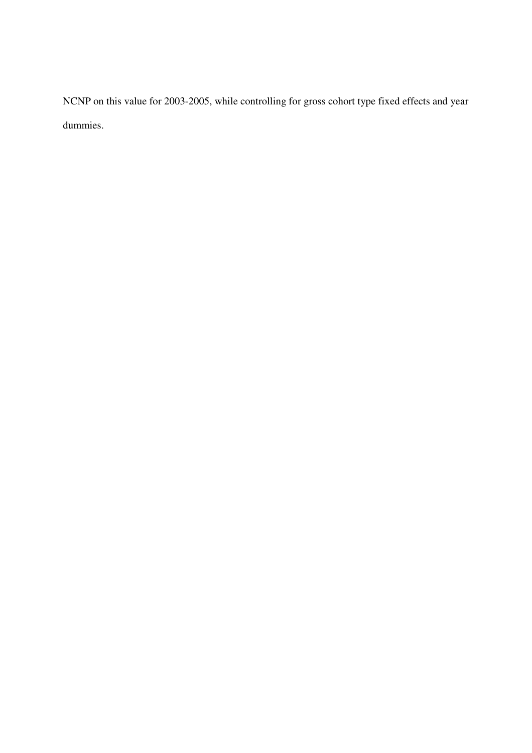NCNP on this value for 2003-2005, while controlling for gross cohort type fixed effects and year dummies.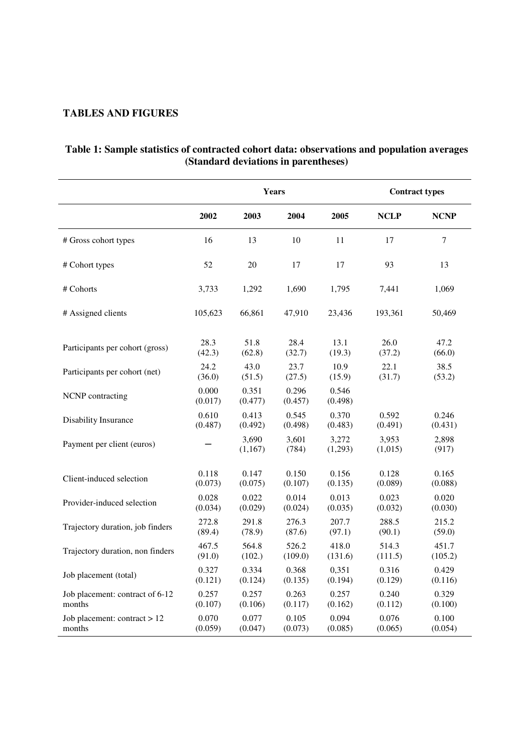# **TABLES AND FIGURES**

|                                  | <b>Years</b>     |                  |                  |                  | <b>Contract types</b> |                |  |
|----------------------------------|------------------|------------------|------------------|------------------|-----------------------|----------------|--|
|                                  | 2002             | 2003             | 2004             | 2005             | <b>NCLP</b>           | <b>NCNP</b>    |  |
| # Gross cohort types             | 16               | 13               | 10               | 11               | 17                    | 7              |  |
| # Cohort types                   | 52               | 20               | 17               | 17               | 93                    | 13             |  |
| # Cohorts                        | 3,733            | 1,292            | 1,690            | 1,795            | 7,441                 | 1,069          |  |
| # Assigned clients               | 105,623          | 66,861           | 47,910           | 23,436           | 193,361               | 50,469         |  |
| Participants per cohort (gross)  | 28.3             | 51.8             | 28.4             | 13.1             | 26.0                  | 47.2           |  |
|                                  | (42.3)           | (62.8)           | (32.7)           | (19.3)           | (37.2)                | (66.0)         |  |
| Participants per cohort (net)    | 24.2             | 43.0             | 23.7             | 10.9             | 22.1                  | 38.5           |  |
|                                  | (36.0)           | (51.5)           | (27.5)           | (15.9)           | (31.7)                | (53.2)         |  |
| NCNP contracting                 | 0.000<br>(0.017) | 0.351<br>(0.477) | 0.296<br>(0.457) | 0.546<br>(0.498) |                       |                |  |
| Disability Insurance             | 0.610            | 0.413            | 0.545            | 0.370            | 0.592                 | 0.246          |  |
|                                  | (0.487)          | (0.492)          | (0.498)          | (0.483)          | (0.491)               | (0.431)        |  |
| Payment per client (euros)       |                  | 3,690<br>(1,167) | 3,601<br>(784)   | 3,272<br>(1,293) | 3,953<br>(1,015)      | 2,898<br>(917) |  |
| Client-induced selection         | 0.118            | 0.147            | 0.150            | 0.156            | 0.128                 | 0.165          |  |
|                                  | (0.073)          | (0.075)          | (0.107)          | (0.135)          | (0.089)               | (0.088)        |  |
| Provider-induced selection       | 0.028            | 0.022            | 0.014            | 0.013            | 0.023                 | 0.020          |  |
|                                  | (0.034)          | (0.029)          | (0.024)          | (0.035)          | (0.032)               | (0.030)        |  |
| Trajectory duration, job finders | 272.8            | 291.8            | 276.3            | 207.7            | 288.5                 | 215.2          |  |
|                                  | (89.4)           | (78.9)           | (87.6)           | (97.1)           | (90.1)                | (59.0)         |  |
| Trajectory duration, non finders | 467.5            | 564.8            | 526.2            | 418.0            | 514.3                 | 451.7          |  |
|                                  | (91.0)           | (102.)           | (109.0)          | (131.6)          | (111.5)               | (105.2)        |  |
| Job placement (total)            | 0.327            | 0.334            | 0.368            | 0,351            | 0.316                 | 0.429          |  |
|                                  | (0.121)          | (0.124)          | (0.135)          | (0.194)          | (0.129)               | (0.116)        |  |
| Job placement: contract of 6-12  | 0.257            | 0.257            | 0.263            | 0.257            | 0.240                 | 0.329          |  |
| months                           | (0.107)          | (0.106)          | (0.117)          | (0.162)          | (0.112)               | (0.100)        |  |
| Job placement: contract $> 12$   | 0.070            | 0.077            | 0.105            | 0.094            | 0.076                 | 0.100          |  |
| months                           | (0.059)          | (0.047)          | (0.073)          | (0.085)          | (0.065)               | (0.054)        |  |

# **Table 1: Sample statistics of contracted cohort data: observations and population averages (Standard deviations in parentheses)**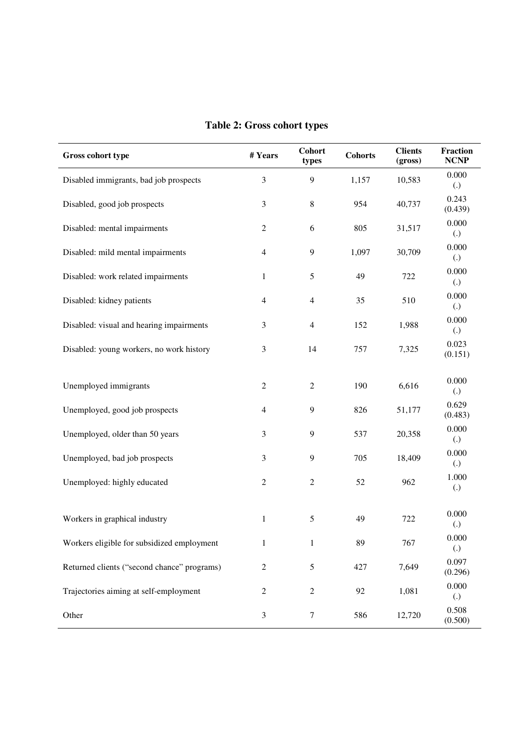| Gross cohort type                           | #Years           | <b>Cohort</b><br>types | <b>Cohorts</b> | <b>Clients</b><br>(gross) | <b>Fraction</b><br><b>NCNP</b> |
|---------------------------------------------|------------------|------------------------|----------------|---------------------------|--------------------------------|
| Disabled immigrants, bad job prospects      | 3                | 9                      | 1,157          | 10,583                    | 0.000<br>$\left( .\right)$     |
| Disabled, good job prospects                | 3                | $8\,$                  | 954            | 40,737                    | 0.243<br>(0.439)               |
| Disabled: mental impairments                | $\sqrt{2}$       | 6                      | 805            | 31,517                    | 0.000<br>$\left( .\right)$     |
| Disabled: mild mental impairments           | $\overline{4}$   | 9                      | 1,097          | 30,709                    | 0.000<br>$\left( .\right)$     |
| Disabled: work related impairments          | $\mathbf{1}$     | 5                      | 49             | 722                       | 0.000<br>$\left( .\right)$     |
| Disabled: kidney patients                   | $\overline{4}$   | 4                      | 35             | 510                       | 0.000<br>$\left( .\right)$     |
| Disabled: visual and hearing impairments    | 3                | $\overline{4}$         | 152            | 1,988                     | 0.000<br>$\left( .\right)$     |
| Disabled: young workers, no work history    | 3                | 14                     | 757            | 7,325                     | 0.023<br>(0.151)               |
| Unemployed immigrants                       | $\mathbf{2}$     | $\overline{c}$         | 190            | 6,616                     | 0.000<br>$\left( .\right)$     |
| Unemployed, good job prospects              | $\overline{4}$   | 9                      | 826            | 51,177                    | 0.629<br>(0.483)               |
| Unemployed, older than 50 years             | 3                | 9                      | 537            | 20,358                    | 0.000<br>$\left( .\right)$     |
| Unemployed, bad job prospects               | 3                | 9                      | 705            | 18,409                    | 0.000<br>$\left( .\right)$     |
| Unemployed: highly educated                 | $\mathbf{2}$     | $\overline{c}$         | 52             | 962                       | 1.000<br>$\left( .\right)$     |
| Workers in graphical industry               | $\mathbf{1}$     | 5                      | 49             | 722                       | 0.000<br>$\left( .\right)$     |
| Workers eligible for subsidized employment  | 1                | $\mathbf{1}$           | 89             | 767                       | 0.000<br>$\left( .\right)$     |
| Returned clients ("second chance" programs) | $\boldsymbol{2}$ | 5                      | 427            | 7,649                     | 0.097<br>(0.296)               |
| Trajectories aiming at self-employment      | $\boldsymbol{2}$ | $\overline{c}$         | 92             | 1,081                     | 0.000<br>$\left( .\right)$     |
| Other                                       | $\mathfrak{Z}$   | $\boldsymbol{7}$       | 586            | 12,720                    | 0.508<br>(0.500)               |

# **Table 2: Gross cohort types**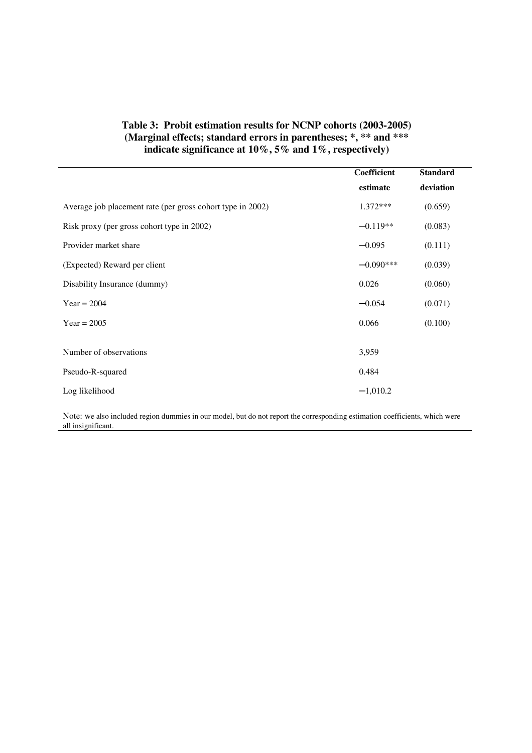# **Table 3: Probit estimation results for NCNP cohorts (2003-2005) (Marginal effects; standard errors in parentheses; \*, \*\* and \*\*\* indicate significance at 10%, 5% and 1%, respectively)**

|                                                            | Coefficient | <b>Standard</b> |
|------------------------------------------------------------|-------------|-----------------|
|                                                            | estimate    | deviation       |
| Average job placement rate (per gross cohort type in 2002) | $1.372***$  | (0.659)         |
| Risk proxy (per gross cohort type in 2002)                 | $-0.119**$  | (0.083)         |
| Provider market share                                      | $-0.095$    | (0.111)         |
| (Expected) Reward per client                               | $-0.090***$ | (0.039)         |
| Disability Insurance (dummy)                               | 0.026       | (0.060)         |
| $Year = 2004$                                              | $-0.054$    | (0.071)         |
| $Year = 2005$                                              | 0.066       | (0.100)         |
|                                                            |             |                 |
| Number of observations                                     | 3,959       |                 |
| Pseudo-R-squared                                           | 0.484       |                 |
| Log likelihood                                             | $-1,010.2$  |                 |

Note: we also included region dummies in our model, but do not report the corresponding estimation coefficients, which were all insignificant.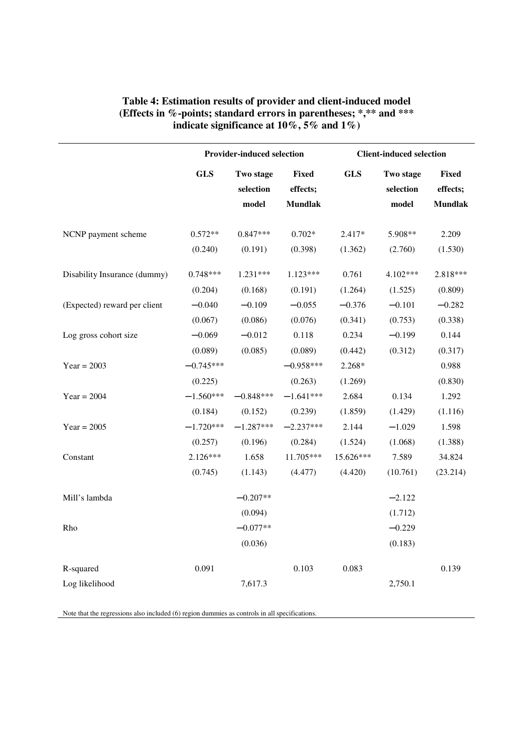|                                | <b>Provider-induced selection</b>     |                                     |                                       |                            | <b>Client-induced selection</b> |                                            |  |  |
|--------------------------------|---------------------------------------|-------------------------------------|---------------------------------------|----------------------------|---------------------------------|--------------------------------------------|--|--|
|                                | <b>GLS</b>                            | Two stage<br>selection<br>model     | Fixed<br>effects;<br><b>Mundlak</b>   | <b>GLS</b>                 | Two stage<br>selection<br>model | <b>Fixed</b><br>effects;<br><b>Mundlak</b> |  |  |
| NCNP payment scheme            | $0.572**$<br>(0.240)                  | $0.847***$<br>(0.191)               | $0.702*$<br>(0.398)                   | 2.417*<br>(1.362)          | 5.908**<br>(2.760)              | 2.209<br>(1.530)                           |  |  |
| Disability Insurance (dummy)   | $0.748***$<br>(0.204)                 | $1.231***$<br>(0.168)               | $1.123***$<br>(0.191)                 | 0.761<br>(1.264)           | 4.102***<br>(1.525)             | 2.818***<br>(0.809)                        |  |  |
| (Expected) reward per client   | $-0.040$<br>(0.067)                   | $-0.109$<br>(0.086)                 | $-0.055$<br>(0.076)                   | $-0.376$<br>(0.341)        | $-0.101$<br>(0.753)             | $-0.282$<br>(0.338)                        |  |  |
| Log gross cohort size          | $-0.069$<br>(0.089)                   | $-0.012$<br>(0.085)                 | 0.118<br>(0.089)                      | 0.234<br>(0.442)           | $-0.199$<br>(0.312)             | 0.144<br>(0.317)                           |  |  |
| Year = $2003$<br>$Year = 2004$ | $-0.745***$<br>(0.225)<br>$-1.560***$ | $-0.848***$                         | $-0.958***$<br>(0.263)<br>$-1.641***$ | 2.268*<br>(1.269)<br>2.684 | 0.134                           | 0.988<br>(0.830)<br>1.292                  |  |  |
| $Year = 2005$                  | (0.184)<br>$-1.720***$                | (0.152)<br>$-1.287***$              | (0.239)<br>$-2.237***$                | (1.859)<br>2.144           | (1.429)<br>$-1.029$             | (1.116)<br>1.598                           |  |  |
| Constant                       | (0.257)<br>$2.126***$                 | (0.196)<br>1.658                    | (0.284)<br>11.705***                  | (1.524)<br>15.626***       | (1.068)<br>7.589                | (1.388)<br>34.824                          |  |  |
|                                | (0.745)                               | (1.143)                             | (4.477)                               | (4.420)                    | (10.761)                        | (23.214)                                   |  |  |
| Mill's lambda<br>Rho           |                                       | $-0.207**$<br>(0.094)<br>$-0.077**$ |                                       |                            | $-2.122$<br>(1.712)<br>$-0.229$ |                                            |  |  |
|                                |                                       | (0.036)                             |                                       |                            | (0.183)                         |                                            |  |  |
| R-squared<br>Log likelihood    | 0.091                                 | 7,617.3                             | 0.103                                 | 0.083                      | 2,750.1                         | 0.139                                      |  |  |

# **Table 4: Estimation results of provider and client-induced model (Effects in %-points; standard errors in parentheses; \*,\*\* and \*\*\* indicate significance at 10%, 5% and 1%)**

Note that the regressions also included (6) region dummies as controls in all specifications.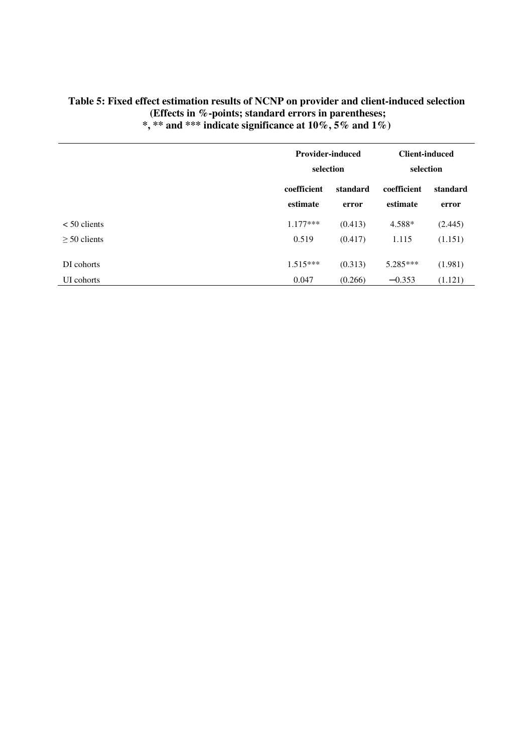|                |                         | <b>Provider-induced</b><br>selection |                         | <b>Client-induced</b><br>selection |
|----------------|-------------------------|--------------------------------------|-------------------------|------------------------------------|
|                | coefficient<br>estimate | standard<br>error                    | coefficient<br>estimate | standard<br>error                  |
| $< 50$ clients | $1.177***$              | (0.413)                              | 4.588*                  | (2.445)                            |
| $>$ 50 clients | 0.519                   | (0.417)                              | 1.115                   | (1.151)                            |
| DI cohorts     | $1.515***$              | (0.313)                              | 5.285***                | (1.981)                            |
| UI cohorts     | 0.047                   | (0.266)                              | $-0.353$                | (1.121)                            |

# **Table 5: Fixed effect estimation results of NCNP on provider and client-induced selection (Effects in %-points; standard errors in parentheses; \*, \*\* and \*\*\* indicate significance at 10%, 5% and 1%)**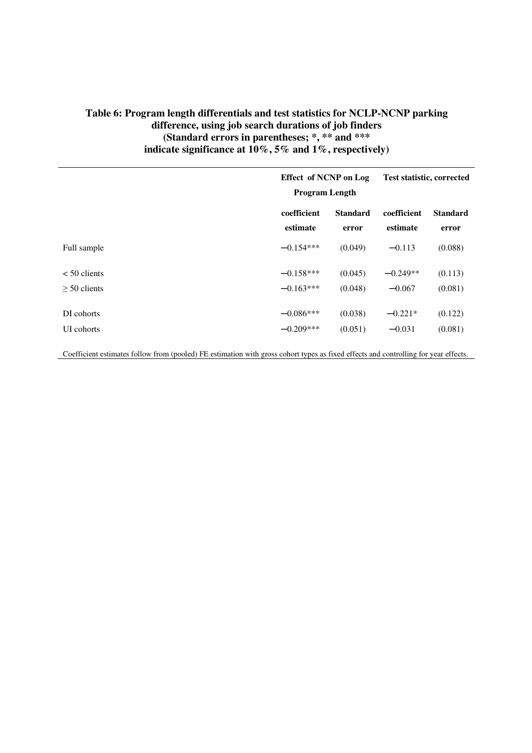# **Table 6: Program length differentials and test statistics for NCLP-NCNP parking difference, using job search durations of job finders (Standard errors in parentheses; \*, \*\* and \*\*\* indicate significance at 10%, 5% and 1%, respectively)**

|                | <b>Effect of NCNP on Log</b><br><b>Program Length</b> |                 | Test statistic, corrected |                 |
|----------------|-------------------------------------------------------|-----------------|---------------------------|-----------------|
|                | coefficient                                           | <b>Standard</b> | coefficient               | <b>Standard</b> |
|                | estimate                                              | error           | estimate                  | error           |
| Full sample    | $-0.154***$                                           | (0.049)         | $-0.113$                  | (0.088)         |
| $< 50$ clients | $-0.158***$                                           | (0.045)         | $-0.249**$                | (0.113)         |
| $> 50$ clients | $-0.163***$                                           | (0.048)         | $-0.067$                  | (0.081)         |
| DI cohorts     | $-0.086***$                                           | (0.038)         | $-0.221*$                 | (0.122)         |
| UI cohorts     | $-0.209***$                                           | (0.051)         | $-0.031$                  | (0.081)         |

Coefficient estimates follow from (pooled) FE estimation with gross cohort types as fixed effects and controlling for year effects.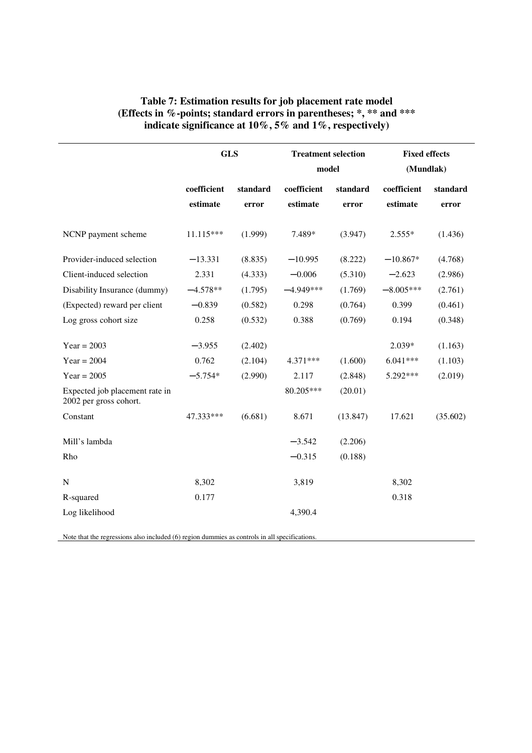|                                                          | <b>GLS</b>              |                   | <b>Treatment selection</b><br>model |                   | <b>Fixed effects</b><br>(Mundlak) |                   |
|----------------------------------------------------------|-------------------------|-------------------|-------------------------------------|-------------------|-----------------------------------|-------------------|
|                                                          | coefficient<br>estimate | standard<br>error | coefficient<br>estimate             | standard<br>error | coefficient<br>estimate           | standard<br>error |
| NCNP payment scheme                                      | 11.115***               | (1.999)           | 7.489*                              | (3.947)           | $2.555*$                          | (1.436)           |
| Provider-induced selection                               | $-13.331$               | (8.835)           | $-10.995$                           | (8.222)           | $-10.867*$                        | (4.768)           |
| Client-induced selection                                 | 2.331                   | (4.333)           | $-0.006$                            | (5.310)           | $-2.623$                          | (2.986)           |
| Disability Insurance (dummy)                             | $-4.578**$              | (1.795)           | $-4.949***$                         | (1.769)           | $-8.005***$                       | (2.761)           |
| (Expected) reward per client                             | $-0.839$                | (0.582)           | 0.298                               | (0.764)           | 0.399                             | (0.461)           |
| Log gross cohort size                                    | 0.258                   | (0.532)           | 0.388                               | (0.769)           | 0.194                             | (0.348)           |
| $Year = 2003$                                            | $-3.955$                | (2.402)           |                                     |                   | 2.039*                            | (1.163)           |
| $Year = 2004$                                            | 0.762                   | (2.104)           | 4.371***                            | (1.600)           | $6.041***$                        | (1.103)           |
| $Year = 2005$                                            | $-5.754*$               | (2.990)           | 2.117                               | (2.848)           | 5.292***                          | (2.019)           |
| Expected job placement rate in<br>2002 per gross cohort. |                         |                   | 80.205***                           | (20.01)           |                                   |                   |
| Constant                                                 | 47.333***               | (6.681)           | 8.671                               | (13.847)          | 17.621                            | (35.602)          |
| Mill's lambda                                            |                         |                   | $-3.542$                            | (2.206)           |                                   |                   |
| Rho                                                      |                         |                   | $-0.315$                            | (0.188)           |                                   |                   |
| $\mathbf N$                                              | 8,302                   |                   | 3,819                               |                   | 8,302                             |                   |
| R-squared                                                | 0.177                   |                   |                                     |                   | 0.318                             |                   |
| Log likelihood                                           |                         |                   | 4,390.4                             |                   |                                   |                   |

# **Table 7: Estimation results for job placement rate model (Effects in %-points; standard errors in parentheses; \*, \*\* and \*\*\* indicate significance at 10%, 5% and 1%, respectively)**

Note that the regressions also included (6) region dummies as controls in all specifications.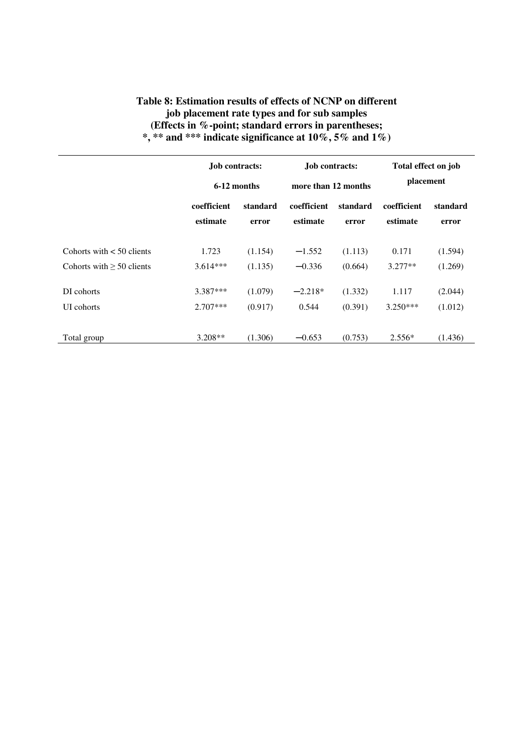# **Table 8: Estimation results of effects of NCNP on different job placement rate types and for sub samples (Effects in %-point; standard errors in parentheses; \*, \*\* and \*\*\* indicate significance at 10%, 5% and 1%)**

|                                | <b>Job contracts:</b><br>6-12 months |          | <b>Job contracts:</b><br>more than 12 months |          | Total effect on job<br>placement |          |
|--------------------------------|--------------------------------------|----------|----------------------------------------------|----------|----------------------------------|----------|
|                                |                                      |          |                                              |          |                                  |          |
|                                | coefficient                          | standard | coefficient                                  | standard | coefficient                      | standard |
|                                | estimate                             | error    | estimate                                     | error    | estimate                         | error    |
| Cohorts with $< 50$ clients    | 1.723                                | (1.154)  | $-1.552$                                     | (1.113)  | 0.171                            | (1.594)  |
| Cohorts with $\geq 50$ clients | $3.614***$                           | (1.135)  | $-0.336$                                     | (0.664)  | $3.277**$                        | (1.269)  |
| DI cohorts                     | 3.387***                             | (1.079)  | $-2.218*$                                    | (1.332)  | 1.117                            | (2.044)  |
| UI cohorts                     | $2.707***$                           | (0.917)  | 0.544                                        | (0.391)  | $3.250***$                       | (1.012)  |
| Total group                    | $3.208**$                            | (1.306)  | $-0.653$                                     | (0.753)  | $2.556*$                         | (1.436)  |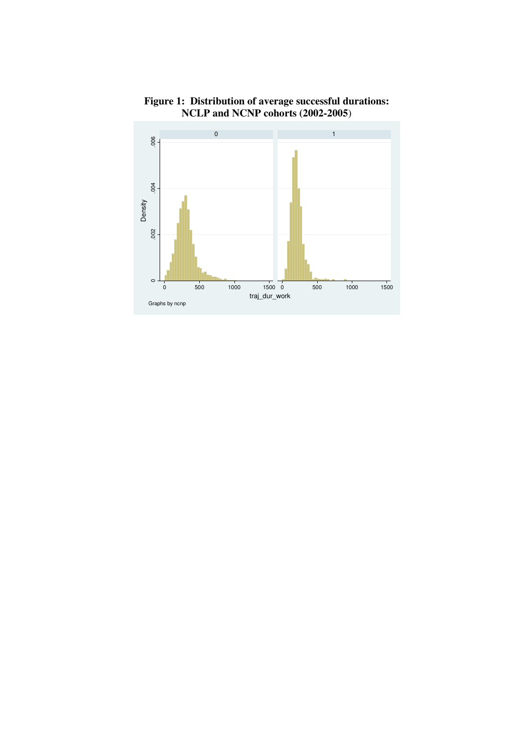

**Figure 1: Distribution of average successful durations: NCLP and NCNP cohorts (2002-2005**)